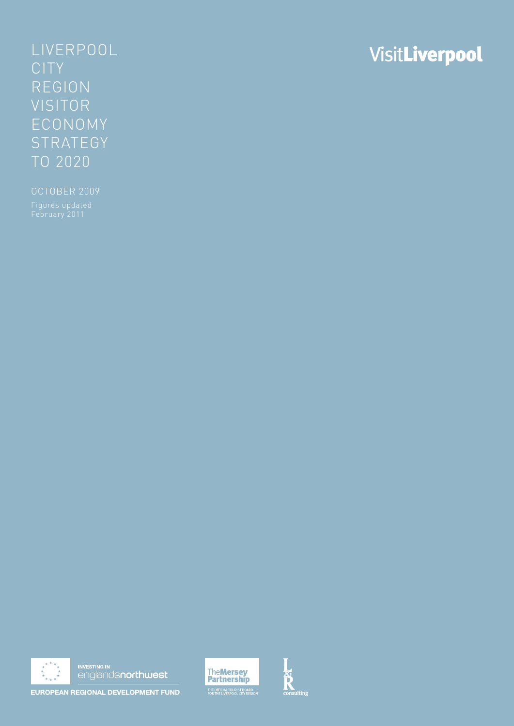## LIVERPOOL Region **VISITOR** Economy STRATEGY

## VisitLiverpool



INVESTING IN<br>englands**northwest** 

EUROPEAN REGIONAL DEVELOPMENT FUND



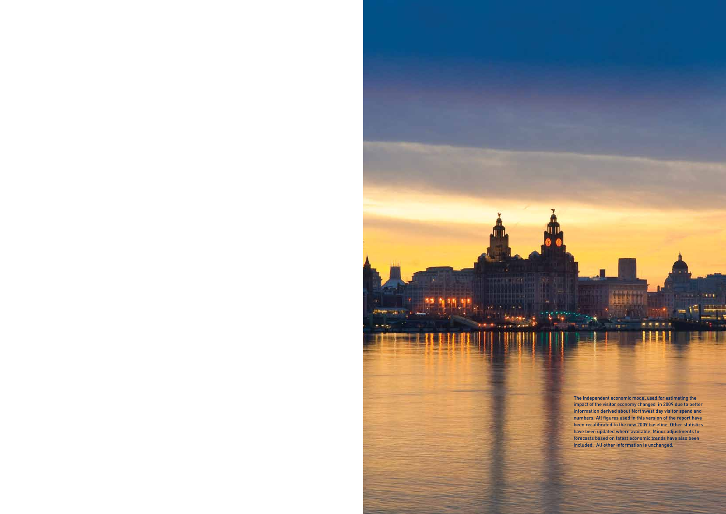

The independent economic model used for estimating the impact of the visitor economy changed in 2009 due to better information derived about Northwest day visitor spend and numbers. All figures used in this version of the report have been recalibrated to the new 2009 baseline. Other statistics have been updated where available. Minor adjustments to forecasts based on latest economic trends have also been included. All other information is unchanged.

**Septim** 

14.54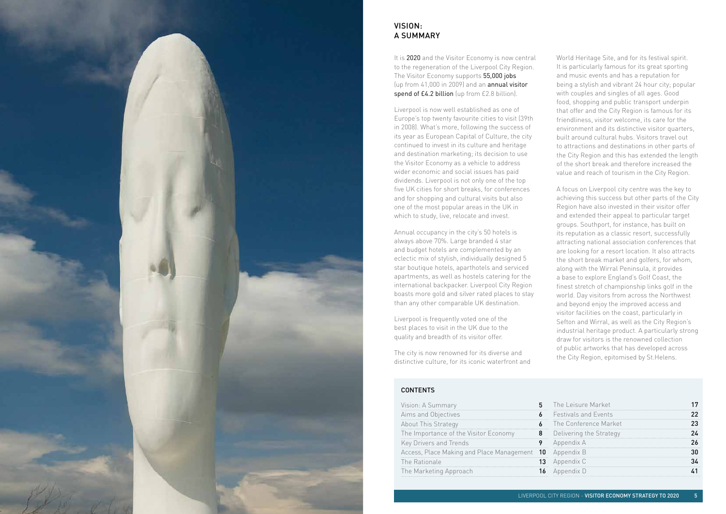

#### Vision: A summary

It is 2020 and the Visitor Economy is now central to the regeneration of the Liverpool City Region. The Visitor Economy supports 55,000 jobs (up from 41,000 in 2009) and an annual visitor spend of £4.2 billion (up from £2.8 billion).

Liverpool is now well established as one of Europe's top twenty favourite cities to visit (39th in 2008). What's more, following the success of its year as European Capital of Culture, the city continued to invest in its culture and heritage and destination marketing; its decision to use the Visitor Economy as a vehicle to address wider economic and social issues has paid dividends. Liverpool is not only one of the top five UK cities for short breaks, for conferences and for shopping and cultural visits but also one of the most popular areas in the UK in which to study, live, relocate and invest.

Annual occupancy in the city's 50 hotels is always above 70%. Large branded 4 star and budget hotels are complemented by an eclectic mix of stylish, individually designed 5 star boutique hotels, aparthotels and serviced apartments, as well as hostels catering for the international backpacker. Liverpool City Region boasts more gold and silver rated places to stay than any other comparable UK destination.

Liverpool is frequently voted one of the best places to visit in the UK due to the quality and breadth of its visitor offer.

The city is now renowned for its diverse and distinctive culture, for its iconic waterfront and

#### **CONTENTS**

| Vision: A Summary                            | 5  | The Leisure Market          | 17 |
|----------------------------------------------|----|-----------------------------|----|
| Aims and Objectives                          | 6  | <b>Festivals and Events</b> | 22 |
| <b>About This Strategy</b>                   | 6  | The Conference Market       | 23 |
| The Importance of the Visitor Economy        | 8  | Delivering the Strategy     | 24 |
| Key Drivers and Trends                       | 9  | Appendix A                  | 26 |
| Access, Place Making and Place Management 10 |    | Appendix B                  | 30 |
| The Rationale                                | 13 | Appendix C                  | 34 |
| The Marketing Approach                       | 16 | Appendix D                  | 41 |
|                                              |    |                             |    |

World Heritage Site, and for its festival spirit. It is particularly famous for its great sporting and music events and has a reputation for being a stylish and vibrant 24 hour city; popular with couples and singles of all ages. Good food, shopping and public transport underpin that offer and the City Region is famous for its friendliness, visitor welcome, its care for the environment and its distinctive visitor quarters, built around cultural hubs. Visitors travel out to attractions and destinations in other parts of the City Region and this has extended the length of the short break and therefore increased the value and reach of tourism in the City Region.

A focus on Liverpool city centre was the key to achieving this success but other parts of the City Region have also invested in their visitor offer and extended their appeal to particular target groups. Southport, for instance, has built on its reputation as a classic resort, successfully attracting national association conferences that are looking for a resort location. It also attracts the short break market and golfers, for whom, along with the Wirral Peninsula, it provides a base to explore England's Golf Coast, the finest stretch of championship links golf in the world. Day visitors from across the Northwest and beyond enjoy the improved access and visitor facilities on the coast, particularly in Sefton and Wirral, as well as the City Region's industrial heritage product. A particularly strong draw for visitors is the renowned collection of public artworks that has developed across the City Region, epitomised by St.Helens.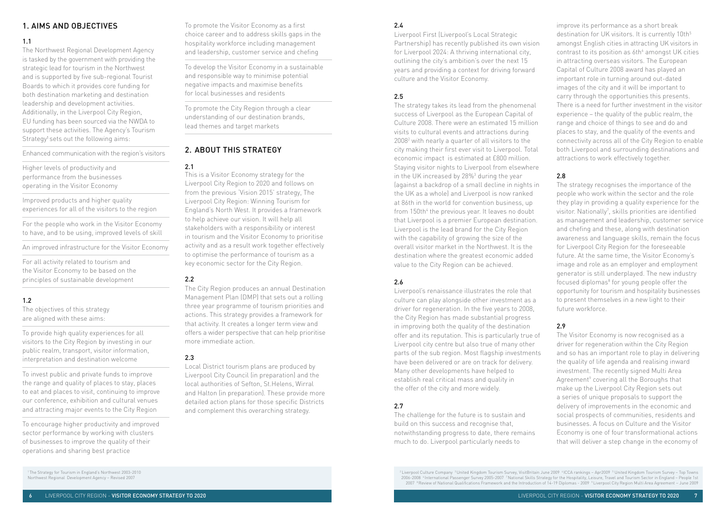The Northwest Regional Development Agency is tasked by the government with providing the strategic lead for tourism in the Northwest and is supported by five sub-regional Tourist Boards to which it provides core funding for both destination marketing and destination leadership and development activities. Additionally, in the Liverpool City Region, EU funding has been sourced via the NWDA to support these activities. The Agency's Tourism Strategy<sup>1</sup> sets out the following aims:

#### 1. Aims and Objectives

#### 1.1

Enhanced communication with the region's visitors

Higher levels of productivity and performance from the businesses operating in the Visitor Economy

Improved products and higher quality experiences for all of the visitors to the region

For the people who work in the Visitor Economy to have, and to be using, improved levels of skill

An improved infrastructure for the Visitor Economy

For all activity related to tourism and the Visitor Economy to be based on the principles of sustainable development

#### 1.2

The objectives of this strategy are aligned with these aims:

To provide high quality experiences for all visitors to the City Region by investing in our public realm, transport, visitor information, interpretation and destination welcome

To invest public and private funds to improve the range and quality of places to stay, places to eat and places to visit, continuing to improve our conference, exhibition and cultural venues and attracting major events to the City Region

To encourage higher productivity and improved sector performance by working with clusters of businesses to improve the quality of their operations and sharing best practice

To promote the Visitor Economy as a first choice career and to address skills gaps in the hospitality workforce including management and leadership, customer service and chefing

To develop the Visitor Economy in a sustainable and responsible way to minimise potential negative impacts and maximise benefits for local businesses and residents

To promote the City Region through a clear understanding of our destination brands, lead themes and target markets

#### 2. About This Strategy

#### 2.1

This is a Visitor Economy strategy for the Liverpool City Region to 2020 and follows on from the previous 'Vision 2015' strategy, The Liverpool City Region: Winning Tourism for England's North West. It provides a framework to help achieve our vision. It will help all stakeholders with a responsibility or interest in tourism and the Visitor Economy to prioritise activity and as a result work together effectively to optimise the performance of tourism as a key economic sector for the City Region.

#### 2.2

The City Region produces an annual Destination Management Plan (DMP) that sets out a rolling three year programme of tourism priorities and actions. This strategy provides a framework for that activity. It creates a longer term view and offers a wider perspective that can help prioritise more immediate action.

#### 2.3

Local District tourism plans are produced by Liverpool City Council (in preparation) and the local authorities of Sefton, St.Helens, Wirral and Halton (in preparation). These provide more detailed action plans for those specific Districts and complement this overarching strategy.

1 The Strategy for Tourism in England's Northwest 2003-2010 Northwest Regional Development Agency – Revised 2007

#### 2.4

Liverpool First (Liverpool's Local Strategic Partnership) has recently published its own vision for Liverpool 2024: A thriving international city, outlining the city's ambition's over the next 15 years and providing a context for driving forward culture and the Visitor Economy.

#### 2.5

The strategy takes its lead from the phenomenal success of Liverpool as the European Capital of Culture 2008. There were an estimated 15 million visits to cultural events and attractions during 20082 with nearly a quarter of all visitors to the city making their first ever visit to Liverpool. Total economic impact is estimated at £800 million. Staying visitor nights to Liverpool from elsewhere in the UK increased by 28%<sup>3</sup> during the year (against a backdrop of a small decline in nights in the UK as a whole) and Liverpool is now ranked at 86th in the world for convention business, up from 150th<sup>4</sup> the previous year. It leaves no doubt that Liverpool is a premier European destination. Liverpool is the lead brand for the City Region with the capability of growing the size of the overall visitor market in the Northwest. It is the destination where the greatest economic added value to the City Region can be achieved.

#### 2.6

Liverpool's renaissance illustrates the role that culture can play alongside other investment as a driver for regeneration. In the five years to 2008, the City Region has made substantial progress in improving both the quality of the destination offer and its reputation. This is particularly true of Liverpool city centre but also true of many other parts of the sub region. Most flagship investments have been delivered or are on track for delivery. Many other developments have helped to establish real critical mass and quality in the offer of the city and more widely.

#### 2.7

The challenge for the future is to sustain and build on this success and recognise that, notwithstanding progress to date, there remains much to do. Liverpool particularly needs to

improve its performance as a short break destination for UK visitors. It is currently 10th<sup>5</sup> amongst English cities in attracting UK visitors in contrast to its position as  $6th<sup>6</sup>$  amongst UK cities in attracting overseas visitors. The European Capital of Culture 2008 award has played an important role in turning around out-dated images of the city and it will be important to carry through the opportunities this presents. There is a need for further investment in the visitor experience – the quality of the public realm, the range and choice of things to see and do and places to stay, and the quality of the events and connectivity across all of the City Region to enable both Liverpool and surrounding destinations and attractions to work effectively together.

#### 2.8

The strategy recognises the importance of the people who work within the sector and the role they play in providing a quality experience for the visitor. Nationally7 , skills priorities are identified as management and leadership, customer service and chefing and these, along with destination awareness and language skills, remain the focus for Liverpool City Region for the foreseeable future. At the same time, the Visitor Economy's image and role as an employer and employment generator is still underplayed. The new industry focused diplomas<sup>8</sup> for young people offer the opportunity for tourism and hospitality businesses to present themselves in a new light to their future workforce.

#### 2.9

The Visitor Economy is now recognised as a driver for regeneration within the City Region and so has an important role to play in delivering the quality of life agenda and realising inward investment. The recently signed Multi Area Agreement<sup>9</sup> covering all the Boroughs that make up the Liverpool City Region sets out a series of unique proposals to support the delivery of improvements in the economic and social prospects of communities, residents and businesses. A focus on Culture and the Visitor Economy is one of four transformational actions that will deliver a step change in the economy of

2 Liverpool Culture Company 3 United Kingdom Tourism Survey, VisitBritain June 2009 4 ICCA rankings – Apr2009 5 United Kingdom Tourism Survey – Top Towns 2006-2008 6 International Passenger Survey 2005-2007 7 National Skills Strategy for the Hospitality, Leisure, Travel and Tourism Sector in England – People 1st 2007 8 Review of National Qualifications Framework and the Introduction of 14-19 Diplomas - 2009 9 Liverpool City Region Multi Area Agreement – June 2009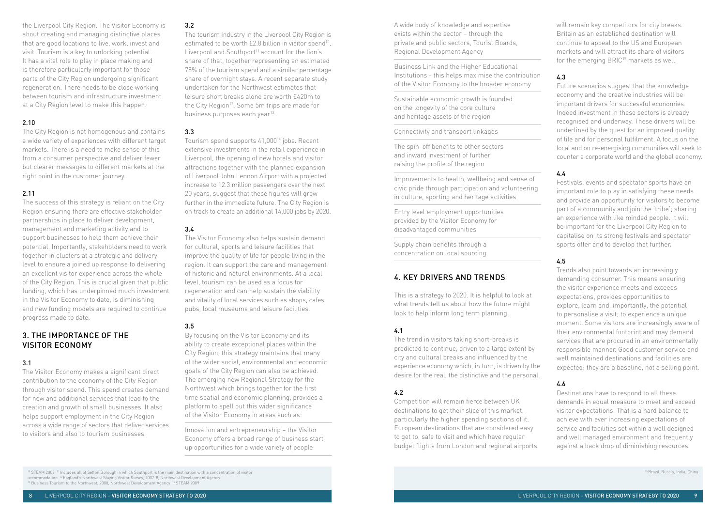the Liverpool City Region. The Visitor Economy is about creating and managing distinctive places that are good locations to live, work, invest and visit. Tourism is a key to unlocking potential. It has a vital role to play in place making and is therefore particularly important for those parts of the City Region undergoing significant regeneration. There needs to be close working between tourism and infrastructure investment at a City Region level to make this happen.

#### 2.10

The City Region is not homogenous and contains a wide variety of experiences with different target markets. There is a need to make sense of this from a consumer perspective and deliver fewer but clearer messages to different markets at the right point in the customer journey.

#### 2.11

The tourism industry in the Liverpool City Region is estimated to be worth £2.8 billion in visitor spend<sup>10</sup>. Liverpool and Southport $11$  account for the lion's share of that, together representing an estimated 78% of the tourism spend and a similar percentage share of overnight stays. A recent separate study undertaken for the Northwest estimates that leisure short breaks alone are worth £420m to the City Region<sup>12</sup>. Some 5m trips are made for business purposes each year<sup>13</sup>.

The success of this strategy is reliant on the City Region ensuring there are effective stakeholder partnerships in place to deliver development, management and marketing activity and to support businesses to help them achieve their potential. Importantly, stakeholders need to work together in clusters at a strategic and delivery level to ensure a joined up response to delivering an excellent visitor experience across the whole of the City Region. This is crucial given that public funding, which has underpinned much investment in the Visitor Economy to date, is diminishing and new funding models are required to continue progress made to date.

#### 3. The Importance of the Visitor Economy

#### 3.1

The Visitor Economy makes a significant direct contribution to the economy of the City Region through visitor spend. This spend creates demand for new and additional services that lead to the creation and growth of small businesses. It also helps support employment in the City Region across a wide range of sectors that deliver services to visitors and also to tourism businesses.

#### 3.2

<sup>10</sup> STEAM 2009 11 Includes all of Sefton Borough in which Southport is the main destination with a concentration of visitor accommodation 12 England's Northwest Staying Visitor Survey, 2007-8, Northwest Development Agency 13 Business Tourism to the Northwest, 2008, Northwest Development Agency 14 STEAM 2009

#### 3.3

Tourism spend supports 41,00014 jobs. Recent extensive investments in the retail experience in Liverpool, the opening of new hotels and visitor attractions together with the planned expansion of Liverpool John Lennon Airport with a projected increase to 12.3 million passengers over the next 20 years, suggest that these figures will grow further in the immediate future. The City Region is on track to create an additional 14,000 jobs by 2020.

#### 3.4

will remain key competitors for city breaks. Britain as an established destination will continue to appeal to the US and European markets and will attract its share of visitors for the emerging BRIC<sup>15</sup> markets as well.

The Visitor Economy also helps sustain demand for cultural, sports and leisure facilities that improve the quality of life for people living in the region. It can support the care and management of historic and natural environments. At a local level, tourism can be used as a focus for regeneration and can help sustain the viability and vitality of local services such as shops, cafes, pubs, local museums and leisure facilities.

#### 3.5

By focusing on the Visitor Economy and its ability to create exceptional places within the City Region, this strategy maintains that many of the wider social, environmental and economic goals of the City Region can also be achieved. The emerging new Regional Strategy for the Northwest which brings together for the first time spatial and economic planning, provides a platform to spell out this wider significance of the Visitor Economy in areas such as:

Innovation and entrepreneurship – the Visitor Economy offers a broad range of business start up opportunities for a wide variety of people

A wide body of knowledge and expertise exists within the sector – through the private and public sectors, Tourist Boards, Regional Development Agency

Business Link and the Higher Educational Institutions - this helps maximise the contribution of the Visitor Economy to the broader economy

Sustainable economic growth is founded on the longevity of the core culture and heritage assets of the region

Connectivity and transport linkages

The spin–off benefits to other sectors and inward investment of further raising the profile of the region

Improvements to health, wellbeing and sense of civic pride through participation and volunteering in culture, sporting and heritage activities

Entry level employment opportunities provided by the Visitor Economy for disadvantaged communities

Supply chain benefits through a concentration on local sourcing

#### 4. Key Drivers and Trends

This is a strategy to 2020. It is helpful to look at what trends tell us about how the future might look to help inform long term planning.

#### 4.1

The trend in visitors taking short-breaks is predicted to continue, driven to a large extent by city and cultural breaks and influenced by the experience economy which, in turn, is driven by the desire for the real, the distinctive and the personal.

#### 4.2

Competition will remain fierce between UK destinations to get their slice of this market, particularly the higher spending sections of it. European destinations that are considered easy to get to, safe to visit and which have regular budget flights from London and regional airports

#### 4.3

Future scenarios suggest that the knowledge economy and the creative industries will be important drivers for successful economies. Indeed investment in these sectors is already recognised and underway. These drivers will be underlined by the quest for an improved quality of life and for personal fulfilment. A focus on the local and on re-energising communities will seek to counter a corporate world and the global economy.

#### 4.4

Festivals, events and spectator sports have an important role to play in satisfying these needs and provide an opportunity for visitors to become part of a community and join the 'tribe'; sharing an experience with like minded people. It will be important for the Liverpool City Region to capitalise on its strong festivals and spectator sports offer and to develop that further.

#### 4.5

Trends also point towards an increasingly demanding consumer. This means ensuring the visitor experience meets and exceeds expectations, provides opportunities to explore, learn and, importantly, the potential to personalise a visit; to experience a unique moment. Some visitors are increasingly aware of their environmental footprint and may demand services that are procured in an environmentally responsible manner. Good customer service and well maintained destinations and facilities are expected; they are a baseline, not a selling point.

#### 4.6

Destinations have to respond to all these demands in equal measure to meet and exceed visitor expectations. That is a hard balance to achieve with ever increasing expectations of service and facilities set within a well designed and well managed environment and frequently against a back drop of diminishing resources.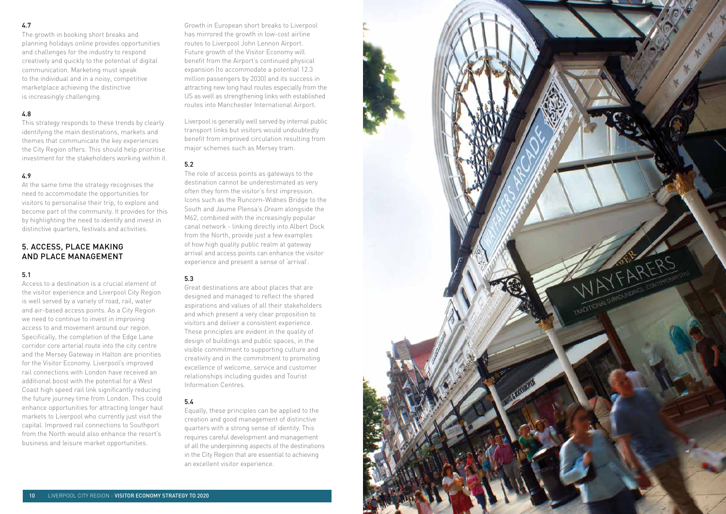The growth in booking short breaks and planning holidays online provides opportunities and challenges for the industry to respond creatively and quickly to the potential of digital communication. Marketing must speak to the individual and in a noisy, competitive marketplace achieving the distinctive is increasingly challenging.

#### 4.8

This strategy responds to these trends by clearly identifying the main destinations, markets and themes that communicate the key experiences the City Region offers. This should help prioritise investment for the stakeholders working within it.

#### 4.9

At the same time the strategy recognises the need to accommodate the opportunities for visitors to personalise their trip, to explore and become part of the community. It provides for this by highlighting the need to identify and invest in distinctive quarters, festivals and activities.

#### 5. Access, Place Making and Place Management

#### 5.1

Access to a destination is a crucial element of the visitor experience and Liverpool City Region is well served by a variety of road, rail, water and air-based access points. As a City Region we need to continue to invest in improving access to and movement around our region. Specifically, the completion of the Edge Lane corridor core arterial route into the city centre and the Mersey Gateway in Halton are priorities for the Visitor Economy. Liverpool's improved rail connections with London have received an additional boost with the potential for a West Coast high speed rail link significantly reducing the future journey time from London. This could enhance opportunities for attracting longer haul markets to Liverpool who currently just visit the capital. Improved rail connections to Southport from the North would also enhance the resort's business and leisure market opportunities.

Growth in European short breaks to Liverpool has mirrored the growth in low-cost airline routes to Liverpool John Lennon Airport. Future growth of the Visitor Economy will benefit from the Airport's continued physical expansion (to accommodate a potential 12.3 million passengers by 2030) and its success in attracting new long haul routes especially from the US as well as strengthening links with established routes into Manchester International Airport.

Liverpool is generally well served by internal public transport links but visitors would undoubtedly benefit from improved circulation resulting from major schemes such as Mersey tram.

#### 5.2

The role of access points as gateways to the destination cannot be underestimated as very often they form the visitor's first impression. Icons such as the Runcorn-Widnes Bridge to the South and Jaume Plensa's *Dream* alongside the M62, combined with the increasingly popular canal network - linking directly into Albert Dock from the North, provide just a few examples of how high quality public realm at gateway arrival and access points can enhance the visitor experience and present a sense of 'arrival'.

#### 5.3

Great destinations are about places that are designed and managed to reflect the shared aspirations and values of all their stakeholders and which present a very clear proposition to visitors and deliver a consistent experience. These principles are evident in the quality of design of buildings and public spaces, in the visible commitment to supporting culture and creativity and in the commitment to promoting excellence of welcome, service and customer relationships including guides and Tourist Information Centres.

#### 5.4

Equally, these principles can be applied to the creation and good management of distinctive quarters with a strong sense of identity. This requires careful development and management of all the underpinning aspects of the destinations in the City Region that are essential to achieving an excellent visitor experience.

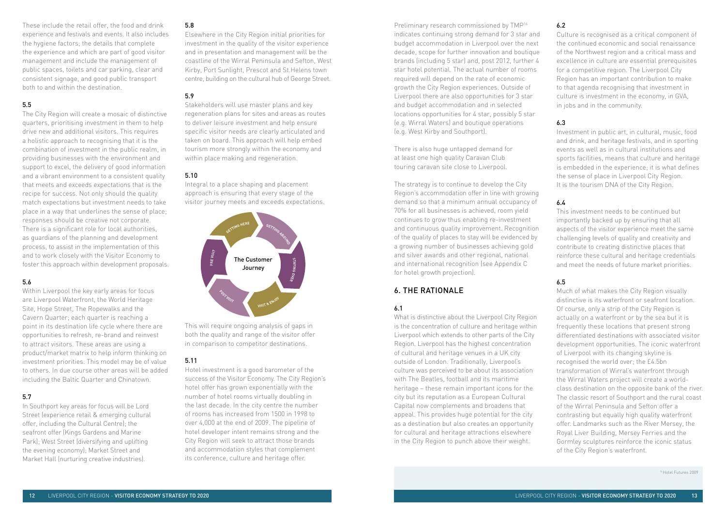These include the retail offer, the food and drink experience and festivals and events. It also includes the hygiene factors; the details that complete the experience and which are part of good visitor management and include the management of public spaces, toilets and car parking, clear and consistent signage, and good public transport both to and within the destination.

#### 5.5

The City Region will create a mosaic of distinctive quarters, prioritising investment in them to help drive new and additional visitors. This requires a holistic approach to recognising that it is the combination of investment in the public realm, in providing businesses with the environment and support to excel, the delivery of good information and a vibrant environment to a consistent quality that meets and exceeds expectations that is the recipe for success. Not only should the quality match expectations but investment needs to take place in a way that underlines the sense of place; responses should be creative not corporate. There is a significant role for local authorities, as guardians of the planning and development process, to assist in the implementation of this and to work closely with the Visitor Economy to foster this approach within development proposals.

#### 5.6

Within Liverpool the key early areas for focus are Liverpool Waterfront, the World Heritage Site, Hope Street, The Ropewalks and the Cavern Quarter; each quarter is reaching a point in its destination life cycle where there are opportunities to refresh, re-brand and reinvest to attract visitors. These areas are using a product/market matrix to help inform thinking on investment priorities. This model may be of value to others. In due course other areas will be added including the Baltic Quarter and Chinatown.

#### 5.7

In Southport key areas for focus will be Lord Street (experience retail & emerging cultural offer, including the Cultural Centre); the seafront offer (Kings Gardens and Marine Park); West Street (diversifying and uplifting the evening economy); Market Street and Market Hall (nurturing creative industries).

Preliminary research commissioned by TMP<sup>16</sup> indicates continuing strong demand for 3 star and budget accommodation in Liverpool over the next decade, scope for further innovation and boutique brands (including 5 star) and, post 2012, further 4 star hotel potential. The actual number of rooms required will depend on the rate of economic growth the City Region experiences. Outside of Liverpool there are also opportunities for 3 star and budget accommodation and in selected locations opportunities for 4 star, possibly 5 star (e.g. Wirral Waters) and boutique operations (e.g. West Kirby and Southport).

#### 5.8

Elsewhere in the City Region initial priorities for investment in the quality of the visitor experience and in presentation and management will be the coastline of the Wirral Peninsula and Sefton, West Kirby, Port Sunlight, Prescot and St.Helens town centre, building on the cultural hub of George Street.

#### 5.9

Stakeholders will use master plans and key regeneration plans for sites and areas as routes to deliver leisure investment and help ensure specific visitor needs are clearly articulated and taken on board. This approach will help embed tourism more strongly within the economy and within place making and regeneration.

#### 5.10

Integral to a place shaping and placement approach is ensuring that every stage of the visitor journey meets and exceeds expectations.

This will require ongoing analysis of gaps in both the quality and range of the visitor offer in comparison to competitor destinations.

#### 5.11

Hotel investment is a good barometer of the success of the Visitor Economy. The City Region's hotel offer has grown exponentially with the number of hotel rooms virtually doubling in the last decade. In the city centre the number of rooms has increased from 1500 in 1998 to over 4,000 at the end of 2009. The pipeline of hotel developer intent remains strong and the City Region will seek to attract those brands and accommodation styles that complement its conference, culture and heritage offer.



There is also huge untapped demand for at least one high quality Caravan Club touring caravan site close to Liverpool.

The strategy is to continue to develop the City Region's accommodation offer in line with growing demand so that a minimum annual occupancy of 70% for all businesses is achieved, room yield continues to grow thus enabling re-investment and continuous quality improvement. Recognition of the quality of places to stay will be evidenced by a growing number of businesses achieving gold and silver awards and other regional, national and international recognition (see Appendix C for hotel growth projection).

#### 6. The Rationale

#### 6.1

What is distinctive about the Liverpool City Region is the concentration of culture and heritage within Liverpool which extends to other parts of the City Region. Liverpool has the highest concentration of cultural and heritage venues in a UK city outside of London. Traditionally, Liverpool's culture was perceived to be about its association with The Beatles, football and its maritime heritage – these remain important icons for the city but its reputation as a European Cultural Capital now complements and broadens that appeal. This provides huge potential for the city as a destination but also creates an opportunity for cultural and heritage attractions elsewhere in the City Region to punch above their weight.

#### 6.2

Culture is recognised as a critical component of the continued economic and social renaissance of the Northwest region and a critical mass and excellence in culture are essential prerequisites for a competitive region. The Liverpool City Region has an important contribution to make to that agenda recognising that investment in culture is investment in the economy, in GVA, in jobs and in the community.

#### 6.3

Investment in public art, in cultural, music, food and drink, and heritage festivals, and in sporting events as well as in cultural institutions and sports facilities, means that culture and heritage is embedded in the experience; it is what defines the sense of place in Liverpool City Region. It is the tourism DNA of the City Region.

#### 6.4

This investment needs to be continued but importantly backed up by ensuring that all aspects of the visitor experience meet the same challenging levels of quality and creativity and contribute to creating distinctive places that reinforce these cultural and heritage credentials and meet the needs of future market priorities.

#### 6.5

Much of what makes the City Region visually distinctive is its waterfront or seafront location. Of course, only a strip of the City Region is actually on a waterfront or by the sea but it is frequently these locations that present strong differentiated destinations with associated visitor development opportunities. The iconic waterfront of Liverpool with its changing skyline is recognised the world over; the £4.5bn transformation of Wirral's waterfront through the Wirral Waters project will create a worldclass destination on the opposite bank of the river. The classic resort of Southport and the rural coast of the Wirral Peninsula and Sefton offer a contrasting but equally high quality waterfront offer. Landmarks such as the River Mersey, the Royal Liver Building, Mersey Ferries and the Gormley sculptures reinforce the iconic status of the City Region's waterfront.

16 Hotel Futures 2009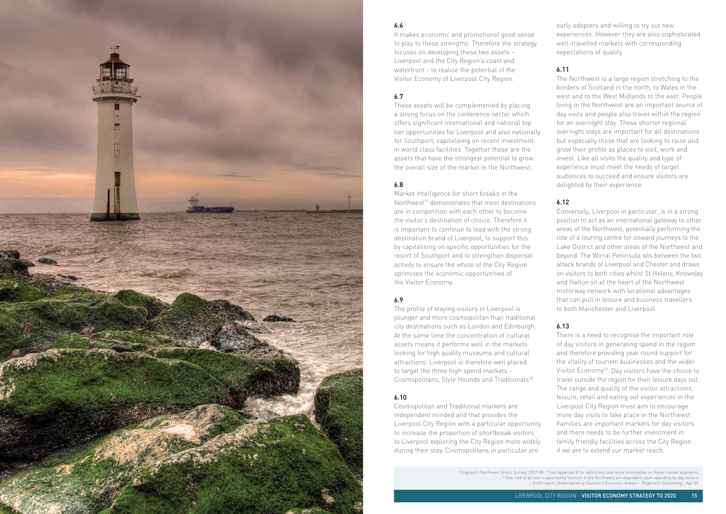

It makes economic and promotional good sense to play to these strengths. Therefore the strategy focuses on developing these two assets – Liverpool and the City Region's coast and waterfront - to realise the potential of the Visitor Economy of Liverpool City Region.

#### 6.7

These assets will be complemented by placing a strong focus on the conference sector which offers significant international and national top tier opportunities for Liverpool and also nationally for Southport, capitalising on recent investment in world class facilities. Together these are the assets that have the strongest potential to grow the overall size of the market in the Northwest.

The profile of staying visitors in Liverpool is younger and more cosmopolitan than traditional city destinations such as London and Edinburgh. At the same time the concentration of cultural assets means it performs well in the markets looking for high quality museums and cultural attractions. Liverpool is therefore well placed to target the three high spend markets - Cosmopolitans, Style Hounds and Traditionals<sup>18</sup>.

#### 6.8

Market intelligence for short breaks in the Northwest<sup>17</sup> demonstrates that most destinations are in competition with each other to become the visitor's destination of choice. Therefore it is important to continue to lead with the strong destination brand of Liverpool, to support this by capitalising on specific opportunities for the resort of Southport and to strengthen dispersal activity to ensure the whole of the City Region optimises the economic opportunities of the Visitor Economy.

#### 6.9

#### 6.10

Cosmopolitan and Traditional markets are independent minded and that provides the Liverpool City Region with a particular opportunity to increase the proportion of shortbreak visitors to Liverpool exploring the City Region more widely during their stay. Cosmopolitans in particular are

early adopters and willing to try out new experiences. However they are also sophisticated well-travelled markets with corresponding expectations of quality.

#### 6.11

<sup>17</sup> England's Northwest Visitor Survey, 2007-08 <sup>18</sup> See Appendix B for definitions and more information on these market segments 19 Over half of all jobs supported by tourism in the Northwest are dependent upon spending by day visitors - Draft report: Understanding Tourism's Economic Impact – Regeneris Consulting - Apr 09

The Northwest is a large region stretching to the borders of Scotland in the north, to Wales in the west and to the West Midlands to the east. People living in the Northwest are an important source of day visits and people also travel within the region for an overnight stay. These shorter regional overnight stays are important for all destinations but especially those that are looking to raise and grow their profile as places to visit, work and invest. Like all visits the quality and type of experience must meet the needs of target audiences to succeed and ensure visitors are delighted by their experience.

#### 6.12

Conversely, Liverpool in particular, is in a strong position to act as an international gateway to other areas of the Northwest, potentially performing the role of a touring centre for onward journeys to the Lake District and other areas of the Northwest and beyond. The Wirral Peninsula sits between the two attack brands of Liverpool and Chester and draws on visitors to both cities whilst St.Helens, Knowsley and Halton sit at the heart of the Northwest motorway network with locational advantages that can pull in leisure and business travellers to both Manchester and Liverpool.

#### 6.13

There is a need to recognise the important role of day visitors in generating spend in the region and therefore providing year round support for the vitality of tourism businesses and the wider Visitor Economy19. Day visitors have the choice to travel outside the region for their leisure days out. The range and quality of the visitor attractions, leisure, retail and eating out experiences in the Liverpool City Region must aim to encourage more day visits to take place in the Northwest. Families are important markets for day visitors and there needs to be further investment in family friendly facilities across the City Region if we are to extend our market reach.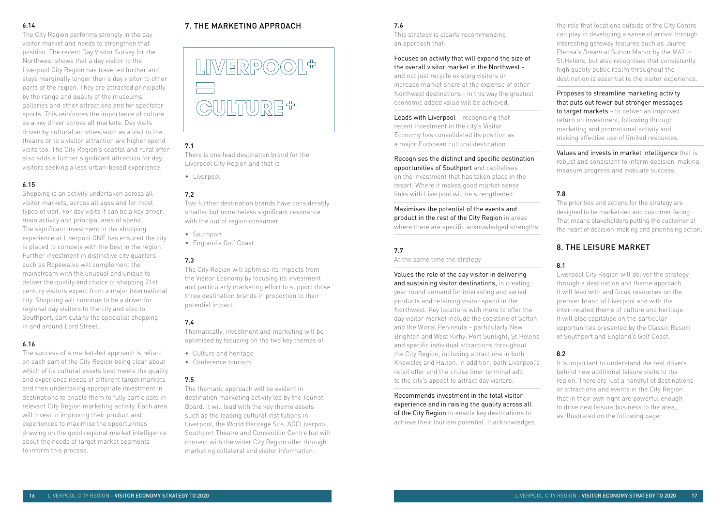The City Region performs strongly in the day visitor market and needs to strengthen that position. The recent Day Visitor Survey for the Northwest shows that a day visitor to the Liverpool City Region has travelled further and stays marginally longer than a day visitor to other parts of the region. They are attracted principally by the range and quality of the museums, galleries and other attractions and for spectator sports. This reinforces the importance of culture as a key driver across all markets. Day visits driven by cultural activities such as a visit to the theatre or to a visitor attraction are higher spend visits too. The City Region's coastal and rural offer also adds a further significant attraction for day visitors seeking a less urban-based experience.

#### 6.15

Shopping is an activity undertaken across all visitor markets, across all ages and for most types of visit. For day visits it can be a key driver, main activity and principal area of spend. The significant investment in the shopping experience at Liverpool ONE has ensured the city is placed to compete with the best in the region. Further investment in distinctive city quarters such as Ropewalks will complement the mainstream with the unusual and unique to deliver the quality and choice of shopping 21st century visitors expect from a major international city. Shopping will continue to be a driver for regional day visitors to the city and also to Southport, particularly the specialist shopping in and around Lord Street.

#### 6.16

Leads with Liverpool – recognising that recent investment in the city's Visitor Economy has consolidated its position as a major European cultural destination.

The success of a market-led approach is reliant on each part of the City Region being clear about which of its cultural assets best meets the quality and experience needs of different target markets and then undertaking appropriate investment in destinations to enable them to fully participate in relevant City Region marketing activity. Each area will invest in improving their product and experiences to maximise the opportunities drawing on the good regional market intelligence about the needs of target market segments to inform this process.

#### 7. The Marketing Approach

# LIVERPOOL<sup>+</sup> CULTURE<sup>+</sup>

#### 7.1

There is one lead destination brand for the Liverpool City Region and that is

• Liverpool

#### 7.2

Two further destination brands have considerably smaller but nonetheless significant resonance with the out of region consumer

- Southport
- England's Golf Coast

#### 7.3

The City Region will optimise its impacts from the Visitor Economy by focusing its investment and particularly marketing effort to support those three destination brands in proportion to their potential impact.

#### 7.4

Thematically, investment and marketing will be optimised by focusing on the two key themes of

- Culture and heritage
- Conference tourism

#### 7.5

The thematic approach will be evident in destination marketing activity led by the Tourist Board. It will lead with the key theme assets such as the leading cultural institutions in Liverpool, the World Heritage Site, ACCLiverpool, Southport Theatre and Convention Centre but will connect with the wider City Region offer through marketing collateral and visitor information.

#### 7.6

This strategy is clearly recommending an approach that:

#### Focuses on activity that will expand the size of the overall visitor market in the Northwest -

and not just recycle existing visitors or increase market share at the expense of other Northwest destinations - in this way the greatest economic added value will be achieved.

#### Recognises the distinct and specific destination opportunities of Southport and capitalises

on the investment that has taken place in the resort. Where it makes good market sense links with Liverpool will be strengthened.

#### Maximises the potential of the events and product in the rest of the City Region in areas where there are specific acknowledged strengths.

#### 7.7

At the same time the strategy

Values the role of the day visitor in delivering and sustaining visitor destinations, in creating year round demand for interesting and varied products and retaining visitor spend in the Northwest. Key locations with more to offer the day visitor market include the coastline of Sefton and the Wirral Peninsula – particularly New Brighton and West Kirby, Port Sunlight, St.Helens and specific individual attractions throughout the City Region, including attractions in both Knowsley and Halton. In addition, both Liverpool's retail offer and the cruise liner terminal add to the city's appeal to attract day visitors.

Recommends investment in the total visitor experience and in raising the quality across all of the City Region to enable key destinations to achieve their tourism potential. It acknowledges the role that locations outside of the City Centre can play in developing a sense of arrival through interesting gateway features such as Jaume Plensa's *Dream* at Sutton Manor by the M62 in St.Helens, but also recognises that consistently high quality public realm throughout the destination is essential to the visitor experience.

Proposes to streamline marketing activity that puts out fewer but stronger messages to target markets – to deliver an improved return on investment, following through marketing and promotional activity and making effective use of limited resources.

Values and invests in market intelligence that is robust and consistent to inform decision-making, measure progress and evaluate success.

#### 7.8

The priorities and actions for the strategy are designed to be market-led and customer facing. That means stakeholders putting the customer at the heart of decision-making and prioritising action.

#### 8. The Leisure Market

#### 8.1

Liverpool City Region will deliver the strategy through a destination and theme approach. It will lead with and focus resources on the premier brand of Liverpool and with the inter-related theme of culture and heritage. It will also capitalise on the particular opportunities presented by the Classic Resort of Southport and England's Golf Coast.

#### 8.2

It is important to understand the real drivers behind new additional leisure visits to the region. There are just a handful of destinations or attractions and events in the City Region that in their own right are powerful enough to drive new leisure business to the area, as illustrated on the following page: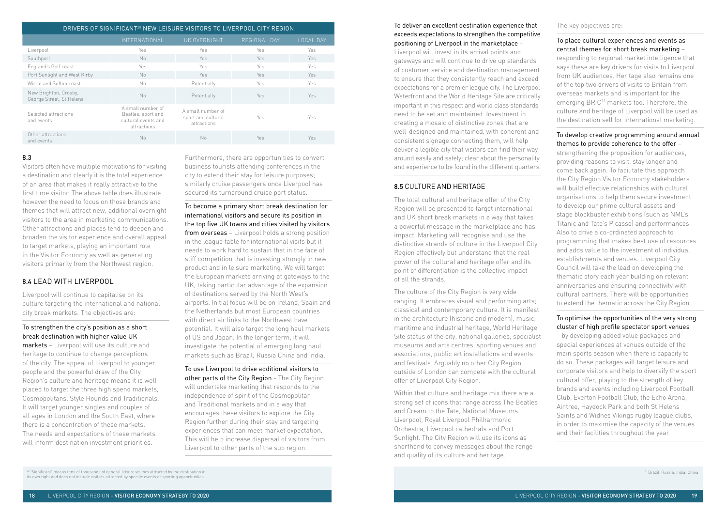| DRIVERS OF SIGNIFICANT <sup>20</sup> NEW LEISURE VISITORS TO LIVERPOOL CITY REGION |                                                                               |                                                        |                     |           |  |  |  |  |  |
|------------------------------------------------------------------------------------|-------------------------------------------------------------------------------|--------------------------------------------------------|---------------------|-----------|--|--|--|--|--|
|                                                                                    | INTERNATIONAL                                                                 | <b>UK OVERNIGHT</b>                                    | <b>REGIONAL DAY</b> | LOCAL DAY |  |  |  |  |  |
| Liverpool                                                                          | Yes                                                                           | Yes                                                    | Yes                 | Yes       |  |  |  |  |  |
| Southport                                                                          | No                                                                            | <b>Yes</b>                                             | Yes                 | Yes.      |  |  |  |  |  |
| England's Golf coast                                                               | Yes                                                                           | Yes                                                    | Yes                 | Yes       |  |  |  |  |  |
| Port Sunlight and West Kirby                                                       | No                                                                            | <b>Yes</b>                                             | Yes                 | Yes       |  |  |  |  |  |
| Wirral and Sefton coast                                                            | No                                                                            | Potentially                                            | Yes                 | Yes       |  |  |  |  |  |
| New Brighton, Crosby,<br>George Street, St. Helens                                 | No                                                                            | Potentially                                            | Yes                 | Yes       |  |  |  |  |  |
| Selected attractions<br>and events                                                 | A small number of<br>Beatles, sport and<br>cultural events and<br>attractions | A small number of<br>sport and cultural<br>attractions | Yes                 | Yes       |  |  |  |  |  |
| Other attractions<br>and events                                                    | No                                                                            | <b>No</b>                                              | Yes                 | Yes       |  |  |  |  |  |

Visitors often have multiple motivations for visiting a destination and clearly it is the total experience of an area that makes it really attractive to the first time visitor. The above table does illustrate however the need to focus on those brands and themes that will attract new, additional overnight visitors to the area in marketing communications. Other attractions and places tend to deepen and broaden the visitor experience and overall appeal to target markets, playing an important role in the Visitor Economy as well as generating visitors primarily from the Northwest region.

#### 8.4 Lead with Liverpool

Liverpool will continue to capitalise on its culture targeting the international and national city break markets. The objectives are:

#### To strengthen the city's position as a short break destination with higher value UK

markets – Liverpool will use its culture and heritage to continue to change perceptions of the city. The appeal of Liverpool to younger people and the powerful draw of the City Region's culture and heritage means it is well placed to target the three high spend markets, Cosmopolitans, Style Hounds and Traditionals. It will target younger singles and couples of all ages in London and the South East, where there is a concentration of these markets. The needs and expectations of these markets will inform destination investment priorities.

<sup>20</sup> 'Significant' means tens of thousands of general leisure visitors attracted by the destination in its own right and does not include visitors attracted by specific events or sporting opportunities

Furthermore, there are opportunities to convert business tourists attending conferences in the city to extend their stay for leisure purposes; similarly cruise passengers once Liverpool has secured its turnaround cruise port status.

To become a primary short break destination for international visitors and secure its position in the top five UK towns and cities visited by visitors from overseas – Liverpool holds a strong position in the league table for international visits but it needs to work hard to sustain that in the face of stiff competition that is investing strongly in new product and in leisure marketing. We will target the European markets arriving at gateways to the UK, taking particular advantage of the expansion of destinations served by the North West's airports. Initial focus will be on Ireland, Spain and the Netherlands but most European countries with direct air links to the Northwest have potential. It will also target the long haul markets of US and Japan. In the longer term, it will investigate the potential of emerging long haul markets such as Brazil, Russia China and India.

To use Liverpool to drive additional visitors to other parts of the City Region - The City Region will undertake marketing that responds to the independence of spirit of the Cosmopolitan and Traditional markets and in a way that encourages these visitors to explore the City Region further during their stay and targeting experiences that can meet market expectation. This will help increase dispersal of visitors from Liverpool to other parts of the sub region.

#### To deliver an excellent destination experience that exceeds expectations to strengthen the competitive positioning of Liverpool in the marketplace –

Liverpool will invest in its arrival points and gateways and will continue to drive up standards of customer service and destination management to ensure that they consistently reach and exceed expectations for a premier league city. The Liverpool Waterfront and the World Heritage Site are critically important in this respect and world class standards need to be set and maintained. Investment in creating a mosaic of distinctive zones that are well-designed and maintained, with coherent and consistent signage connecting them, will help deliver a legible city that visitors can find their way around easily and safely; clear about the personality and experience to be found in the different quarters.

#### 8.5 Culture and Heritage

The total cultural and heritage offer of the City Region will be presented to target international and UK short break markets in a way that takes a powerful message in the marketplace and has impact. Marketing will recognise and use the distinctive strands of culture in the Liverpool City Region effectively but understand that the real power of the cultural and heritage offer and its point of differentiation is the collective impact of all the strands.

The culture of the City Region is very wide ranging. It embraces visual and performing arts; classical and contemporary culture. It is manifest in the architecture (historic and modern), music, maritime and industrial heritage, World Heritage Site status of the city, national galleries, specialist museums and arts centres, sporting venues and associations, public art installations and events and festivals. Arguably no other City Region outside of London can compete with the cultural offer of Liverpool City Region.

Within that culture and heritage mix there are a strong set of icons that range across The Beatles and Cream to the Tate, National Museums Liverpool, Royal Liverpool Philharmonic Orchestra, Liverpool cathedrals and Port Sunlight. The City Region will use its icons as shorthand to convey messages about the range and quality of its culture and heritage.

To place cultural experiences and events as central themes for short break marketing – responding to regional market intelligence that says these are key drivers for visits to Liverpool from UK audiences. Heritage also remains one of the top two drivers of visits to Britain from overseas markets and is important for the emerging BRIC<sup>21</sup> markets too. Therefore, the culture and heritage of Liverpool will be used as the destination sell for international marketing.

#### To develop creative programming around annual themes to provide coherence to the offer –

strengthening the proposition for audiences, providing reasons to visit, stay longer and come back again. To facilitate this approach the City Region Visitor Economy stakeholders will build effective relationships with cultural organisations to help them secure investment to develop our prime cultural assets and stage blockbuster exhibitions (such as NML's Titanic and Tate's Picasso) and performances. Also to drive a co-ordinated approach to programming that makes best use of resources and adds value to the investment of individual establishments and venues. Liverpool City Council will take the lead on developing the thematic story each year building on relevant anniversaries and ensuring connectivity with cultural partners. There will be opportunities to extend the thematic across the City Region.

#### To optimise the opportunities of the very strong cluster of high profile spectator sport venues

– by developing added value packages and special experiences at venues outside of the main sports season when there is capacity to do so. These packages will target leisure and corporate visitors and help to diversify the sport cultural offer, playing to the strength of key brands and events including Liverpool Football Club, Everton Football Club, the Echo Arena, Aintree, Haydock Park and both St.Helens Saints and Widnes Vikings rugby league clubs, in order to maximise the capacity of the venues and their facilities throughout the year.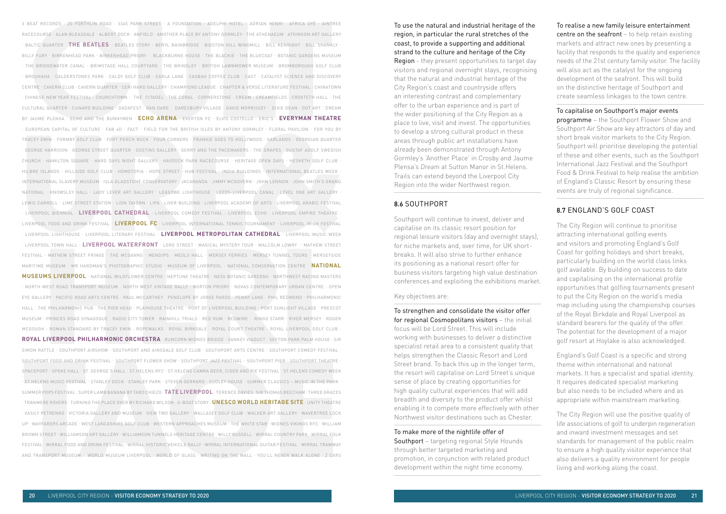Southport – targeting regional Style Hounds through better targeted marketing and promotion, in conjunction with related product development within the night time economy.

EAT RECORDS - 20 FORTHUM ROAD - 3345 PARR STREET - A FOUNDATION - ADELPHI HOTEL - ADRIAN HENRI - AFRICA OYÉ - AINT<br>CECOURSE - ALAN BLEASDALE - ALBERT DOCK - ANFIELD - ANOTHER PLACE BY ANTONY GORMLEY - THE ATHENAEUM - ATKIN EVALUATION CONTRIGATION CONTRIGATION CONTRIGATION CONTRIGATION CONTRIGATION CONTRIGATION CONTRIGATION CONTRIGATION CONTRIGATION CONTRIGATION CONTRIGATION CONTRIGATION CONTRIGATION CONTRIGATION CONTRIGATION CONTRIGATION CON FOLLOWITHOUSE - LIVERPOOL LITERARY FESTIVAL - LIVERPOOL METROPOLITAN CATHEDRAL - LIVERPOOL MUNIC ON TOWN HALL - LIVERPOOL WATERFRONT - LORD STREET - MAGICAL MYSTERY TOUR - MALICOLM LOWRY - MATHEMATHEM - MATHEM STREET FRING SIMON RATTLE - SOUTHPORT AIRSHOW - SOUTHPORT AND AINSDALE GOLF CLUB - SOUTHPORT ARTS CENTRE - SOUTHPORT COMEDY FESTIVAL<br>SOUTHPORT FOOD AND DRINK FESTIVAL - SOUTHPORT FLOWER SHOW - SOUTHPORT JAZZ FESTIVAL - SOUTHPORT PIER -3 BEAT RECORDS . 20 FORTHLIN ROAD . 3345 PARR STREET . A FOUNDATION . ADELPHI HOTEL . ADRIAN HENRI . AFRICA OYÉ . AINTREE RACECOURSE . ALAN BLEASDALE . ALBERT DOCK . ANFIELD . ANOTHER PLACE BY ANTONY GORMLEY . THE ATHENAEUM . ATKINSON ART GALLERY . BALTIC QUARTER . **THE BEATLES** . BEATLES STORY . BERYL BAINBRIDGE . BIDSTON HILL WINDMILL . BILL KENRIGHT . BILL SHANKLY . BILLY FURY . BIRKENHEAD PARK . BIRKENHEAD PRIORY . BLACKBURNE HOUSE . THE BLACKIE . THE BLUECOAT . BOTANIC GARDENS MUSEUM . THE BRIDGEWATER CANAL . BRIMSTAGE HALL COURTYARD . THE BRINDLEY . BRITISH LAWNMOWER MUSEUM . BROMBOROUGH GOLF CLUB BROUHAHA · CALDERSTONES PARK · CALDY GOLF CLUB · CARLA LANE · CASBAH COFFEE CLUB · CAST · CATALYST SCIENCE AND DISCOVERY CENTRE · CAVERN CLUB · CAVERN QUARTER · CERI HAND GALLERY · CHAMPIONS LEAGUE · CHAPTER & VERSE LITERATURE FESTIVAL · CHINATOWN CHINESE NEW YEAR FESTIVAL . CHURCHTOWN . THE CITADEL . THE CORAL . CORNERSTONE . CREAM . CREAMFIELDS . CROXTETH HALL . THE CULTURAL QUARTER · CUNARD BUILDING · DADAFEST · DAN DARE · DARESBURY VILLAGE · DAVID MORRISSEY · DIXIE DEAN · DOT ART · DREAM BY JAUME PLENSA . ECHO AND THE BUNNYMEN . **ECHO ARENA** . EVERTON FC . ELVIS COSTELLO . ERIC'S . **EVERYMAN THEATRE** . EUROPEAN CAPITAL OF CULTURE . FAB 4D . FACT . FIELD FOR THE BRITISH ISLES BY ANTONY GORMLEY . FLORAL PAVILION . FOR YOU BY TRACEY EMIN . FORMBY GOLF CLUB . FORT PERCH ROCK . FOUR CORNERS . FRANKIE GOES TO HOLLYWOOD . GARLANDS . GEORGIAN QUARTER . GEORGE HARRISON . GEORGE STREET QUARTER . GOSTINS GALLERY . GERRY AND THE PACEMAKERS . THE GRAPES . GUSTAF ADOLF SWEDISH CHURCH · HAMILTON SQUARE · HARD DAYS NIGHT GALLERY · HAYDOCK PARK RACECOURSE · HERITAGE OPEN DAYS · HESKETH GOLF CLUB · HILBRE ISLANDS · HILLSIDE GOLF CLUB · HOMOTOPIA · HOPE STREET · HUB FESTIVAL · INDIA BUILDINGS · INTERNATIONAL BEATLES WEEK INTERNATIONAL SLAVERY MUSEUM · ISLA GLADSTONE CONSERVATORY · JACARANDA · JIMMY MCGOVERN · JOHN LENNON · JOHN SMITH'S GRAND NATIONAL · KNOWSLEY HALL · LADY LEVER ART GALLERY · LEASOWE LIGHTHOUSE · LEEDS-LIVERPOOL CANAL · LEVEL ONE ART GALLERY LEWIS CARROLL . LIME STREET STATION . LION TAVERN . LIPA . LIVER BUILDING . LIVERPOOL ACADEMY OF ARTS . LIVERPOOL ARABIC FESTIVAL . LIVERPOOL BIENNIAL . LIVERPOOL CATHEDRAL . LIVERPOOL COMEDY FESTIVAL . LIVERPOOL ECHO . LIVERPOOL EMPIRE THEATRE LIVERPOOL FOOD AND DRINK FESTIVAL . **LIVERPOOL FC** . LIVERPOOL INTERNATIONAL TENNIS TOURNAMENT . LIVERPOOL IRISH FESTIVAL . LIVERPOOL LIGHTHOUSE . LIVERPOOL LITERARY FESTIVAL . **LIVERPOOL METROPOLITAN CATHEDRAL** . LIVERPOOL MUSIC WEEK . LIVERPOOL TOWN HALL . **LIVERPOOL WATERFRONT** . LORD STREET . MAGICAL MYSTERY TOUR . MALCOLM LOWRY . MATHEW STREET FESTIVAL · MATHEW STREET FRINGE · THE MCGANNS · MENDIPS · MEOLS HALL · MERSEY FERRIES · MERSEY TUNNEL TOURS · MERSEYSIDE MARITIME MUSEUM . MR HARDMAN'S PHOTOGRAPHIC STUDIO . MUSEUM OF LIVERPOOL . NATIONAL CONSERVATION CENTRE . **NATIONAL MUSEUMS LIVERPOOL** . NATIONAL WILDFLOWER CENTRE . NEPTUNE THEATRE . NESS BOTANIC GARDENS . NORTHWEST RACING MASTERS . NORTH WEST ROAD TRANSPORT MUSEUM . NORTH WEST VINTAGE RALLY . NORTON PRIORY . NOVAS CONTEMPORARY URBAN CENTRE . OPEN EYE GALLERY . PACIFIC ROAD ARTS CENTRE . PAUL MCCARTNEY . PENELOPE BY JORGE PARDO . PENNY LANE . PHIL REDMOND . PHILHARMONIC HALL . THE PHILHARMONIC PUB . THE PIER HEAD . PLAYHOUSE THEATRE . PORT OF LIVERPOOL BUILDING . PORT SUNLIGHT VILLAGE . PRESCOT MUSEUM · PRINCES ROAD SYNAGOGUE · RADIO CITY TOWER · RAINHILL TRIALS · RED RUM · REDWIRE · RINGO STARR · RIVER MERSEY · ROGER MCGOUGH · ROMAN STANDARD BY TRACEY EMIN · ROPEWALKS · ROYAL BIRKDALE · ROYAL COURT THEATRE · ROYAL LIVERPOOL GOLF CLUB **ROYAL LIVERPOOL PHILHARMONIC ORCHESTRA** . RUNCORN WIDNES BRIDGE . SANKEY VIADUCT . SEFTON PARK PALM HOUSE . SIR SIMON RATTLE · SOUTHPORT AIRSHOW · SOUTHPORT AND AINSDALE GOLF CLUB · SOUTHPORT ARTS CENTRE · SOUTHPORT COMEDY FESTIVAL SOUTHPORT FOOD AND DRINK FESTIVAL · SOUTHPORT FLOWER SHOW · SOUTHPORT JAZZ FESTIVAL · SOUTHPORT PIER · SOUTHPORT THEATRE · SPACEPORT · SPEKE HALL · ST. GEORGE'S HALL · ST.HELENS RFC · ST.HELENS CAMRA BEER, CIDER AND PIE FESTIVAL · ST.HELENS COMEDY WEEK . ST.HELENS MUSIC FESTIVAL . STANLEY DOCK . STANLEY PARK . STEVEN GERRARD . SUDLEY HOUSE . SUMMER CLASSICS – MUSIC IN THE PARK . SUMMER POPS FESTIVAL . SUPER LAMB BANANA BY TARO CHIEZO . **TATE LIVERPOOL** . TERENCE DAVIES . SIR THOMAS BEECHAM . THREE GRACES . TRANMERE ROVERS . TURNING THE PLACE OVER BY RICHARD WILSON . U-BOAT STORY . **UNESCO WORLD HERITAGE SITE** . UNITY THEATRE . VASILY PETRENKO . VICTORIA GALLERY AND MUSEUM . VIEW TWO GALLERY . WALLASEY GOLF CLUB . WALKER ART GALLERY . WAVERTREE LOCK UP . WAYFARERS ARCADE . WEST LANCASHIRE GOLF CLUB . WESTERN APPROACHES MUSEUM . THE WHITE STAR . WIDNES VIKINGS RFC . WILLIAM BROWN STREET . WILLIAMSON ART GALLERY . WILLIAMSON TUNNELS HERITAGE CENTRE . WILLY RUSSELL . WIRRAL COUNTRY PARK . WIRRAL FOLK FESTIVAL . WIRRAL FOOD AND DRINK FESTIVAL . WIRRAL HISTORIC VEHICLE RALLY . WIRRAL INTERNATIONAL GUITAR FESTIVAL . WIRRAL TRAMWAY AND TRANSPORT MUSEUM . WORLD MUSEUM LIVERPOOL . WORLD OF GLASS . WRITING ON THE WALL . YOU'LL NEVER WALK ALONE . Z CARS

To use the natural and industrial heritage of the region, in particular the rural stretches of the coast, to provide a supporting and additional strand to the culture and heritage of the City Region - they present opportunities to target day visitors and regional overnight stays, recognising that the natural and industrial heritage of the City Region's coast and countryside offers an interesting contrast and complementary offer to the urban experience and is part of the wider positioning of the City Region as a place to live, visit and invest. The opportunities to develop a strong cultural product in these areas through public art installations have already been demonstrated through Antony Gormley's 'Another Place' in Crosby and Jaume Plensa's *Dream* at Sutton Manor in St.Helens. Trails can extend beyond the Liverpool City Region into the wider Northwest region.

#### 8.6 Southport

Southport will continue to invest, deliver and capitalise on its classic resort position for regional leisure visitors (day and overnight stays), for niche markets and, over time, for UK shortbreaks. It will also strive to further enhance its positioning as a national resort offer for business visitors targeting high value destination conferences and exploiting the exhibitions market.

#### Key objectives are:

To strengthen and consolidate the visitor offer for regional Cosmopolitans visitors – the initial focus will be Lord Street. This will include working with businesses to deliver a distinctive specialist retail area to a consistent quality that helps strengthen the Classic Resort and Lord Street brand. To back this up in the longer term, the resort will capitalise on Lord Street's unique sense of place by creating opportunities for high quality cultural experiences that will add breadth and diversity to the product offer whilst enabling it to compete more effectively with other Northwest visitor destinations such as Chester.

#### To make more of the nightlife offer of

#### To realise a new family leisure entertainment centre on the seafront – to help retain existing markets and attract new ones by presenting a facility that responds to the quality and experience needs of the 21st century family visitor. The facility will also act as the catalyst for the ongoing development of the seafront. This will build on the distinctive heritage of Southport and create seamless linkages to the town centre.

To capitalise on Southport's major events programme – the Southport Flower Show and Southport Air Show are key attractors of day and short break visitor markets to the City Region. Southport will prioritise developing the potential of these and other events, such as the Southport International Jazz Festival and the Southport Food & Drink Festival to help realise the ambition of England's Classic Resort by ensuring these events are truly of regional significance.

#### 8.7 England's Golf Coast

The City Region will continue to prioritise attracting international golfing events and visitors and promoting England's Golf Coast for golfing holidays and short breaks, particularly building on the world class links golf available. By building on success to date and capitalising on the international profile opportunities that golfing tournaments present to put the City Region on the world's media map including using the championship courses of the Royal Birkdale and Royal Liverpool as standard bearers for the quality of the offer. The potential for the development of a major golf resort at Hoylake is also acknowledged.

England's Golf Coast is a specific and strong theme within international and national markets. It has a specialist and spatial identity. It requires dedicated specialist marketing but also needs to be included where and as appropriate within mainstream marketing.

The City Region will use the positive quality of life associations of golf to underpin regeneration and inward investment messages and set standards for management of the public realm to ensure a high quality visitor experience that also delivers a quality environment for people living and working along the coast.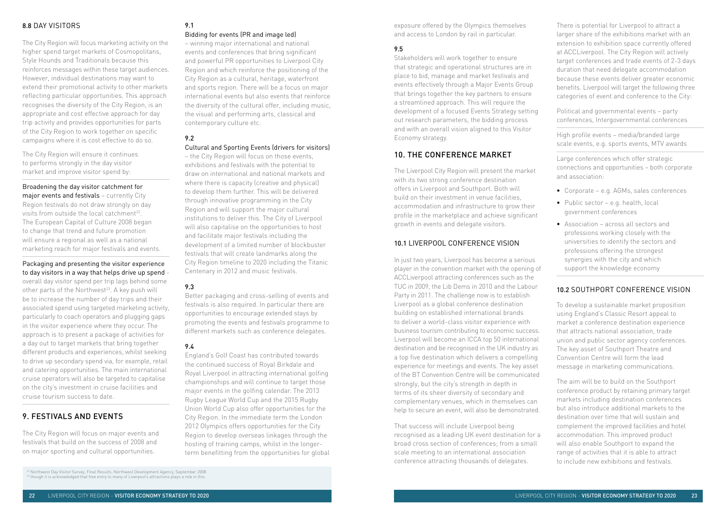#### 8.8 Day visitors

Broadening the day visitor catchment for major events and festivals - currently City

The City Region will focus marketing activity on the higher spend target markets of Cosmopolitans, Style Hounds and Traditionals because this reinforces messages within these target audiences. However, individual destinations may want to extend their promotional activity to other markets reflecting particular opportunities. This approach recognises the diversity of the City Region, is an appropriate and cost effective approach for day trip activity and provides opportunities for parts of the City Region to work together on specific campaigns where it is cost effective to do so.

The City Region will ensure it continues to performs strongly in the day visitor market and improve visitor spend by:

Region festivals do not draw strongly on day visits from outside the local catchment<sup>22</sup>. The European Capital of Culture 2008 began to change that trend and future promotion will ensure a regional as well as a national marketing reach for major festivals and events.

Packaging and presenting the visitor experience to day visitors in a way that helps drive up spend -

overall day visitor spend per trip lags behind some other parts of the Northwest $23$ . A key push will be to increase the number of day trips and their associated spend using targeted marketing activity, particularly to coach operators and plugging gaps in the visitor experience where they occur. The approach is to present a package of activities for a day out to target markets that bring together different products and experiences, whilst seeking to drive up secondary spend via, for example, retail and catering opportunities. The main international cruise operators will also be targeted to capitalise on the city's investment in cruise facilities and cruise tourism success to date.

#### 9. Festivals and Events

The City Region will focus on major events and festivals that build on the success of 2008 and on major sporting and cultural opportunities.

#### 9.1

#### Bidding for events (PR and image led)

– winning major international and national events and conferences that bring significant and powerful PR opportunities to Liverpool City Region and which reinforce the positioning of the City Region as a cultural, heritage, waterfront and sports region. There will be a focus on major international events but also events that reinforce the diversity of the cultural offer, including music, the visual and performing arts, classical and contemporary culture etc.

#### 9.2

#### Cultural and Sporting Events (drivers for visitors)

– the City Region will focus on those events, exhibitions and festivals with the potential to draw on international and national markets and where there is capacity (creative and physical) to develop them further. This will be delivered through innovative programming in the City Region and will support the major cultural institutions to deliver this. The City of Liverpool will also capitalise on the opportunities to host and facilitate major festivals including the development of a limited number of blockbuster festivals that will create landmarks along the City Region timeline to 2020 including the Titanic Centenary in 2012 and music festivals.

#### 9.3

Better packaging and cross-selling of events and festivals is also required. In particular there are opportunities to encourage extended stays by promoting the events and festivals programme to different markets such as conference delegates.

#### 9.4

England's Golf Coast has contributed towards the continued success of Royal Birkdale and Royal Liverpool in attracting international golfing championships and will continue to target those major events in the golfing calendar. The 2013 Rugby League World Cup and the 2015 Rugby Union World Cup also offer opportunities for the City Region. In the immediate term the London 2012 Olympics offers opportunities for the City Region to develop overseas linkages through the hosting of training camps, whilst in the longerterm benefitting from the opportunities for global exposure offered by the Olympics themselves and access to London by rail in particular.

#### 9.5

Stakeholders will work together to ensure that strategic and operational structures are in place to bid, manage and market festivals and events effectively through a Major Events Group that brings together the key partners to ensure a streamlined approach. This will require the development of a focused Events Strategy setting out research parameters, the bidding process and with an overall vision aligned to this Visitor Economy strategy.

#### 10. The Conference Market

The Liverpool City Region will present the market with its two strong conference destination offers in Liverpool and Southport. Both will build on their investment in venue facilities, accommodation and infrastructure to grow their profile in the marketplace and achieve significant growth in events and delegate visitors.

#### 10.1 Liverpool Conference Vision

In just two years, Liverpool has become a serious player in the convention market with the opening of ACCLiverpool attracting conferences such as the TUC in 2009, the Lib Dems in 2010 and the Labour Party in 2011. The challenge now is to establish Liverpool as a global conference destination building on established international brands to deliver a world-class visitor experience with business tourism contributing to economic success. Liverpool will become an ICCA top 50 international destination and be recognised in the UK industry as a top five destination which delivers a compelling experience for meetings and events. The key asset of the BT Convention Centre will be communicated strongly, but the city's strength in depth in terms of its sheer diversity of secondary and complementary venues, which in themselves can help to secure an event, will also be demonstrated.

That success will include Liverpool being recognised as a leading UK event destination for a broad cross section of conferences; from a small scale meeting to an international association conference attracting thousands of delegates.

There is potential for Liverpool to attract a larger share of the exhibitions market with an extension to exhibition space currently offered at ACCLiverpool. The City Region will actively target conferences and trade events of 2-3 days duration that need delegate accommodation because these events deliver greater economic benefits. Liverpool will target the following three categories of event and conference to the City:

Political and governmental events – party conferences, Intergovernmental conferences

High profile events – media/branded large scale events, e.g. sports events, MTV awards

Large conferences which offer strategic connections and opportunities – both corporate and association:

- Corporate e.g. AGMs, sales conferences
- Public sector e.g. health, local government conferences
- Association across all sectors and professions working closely with the universities to identify the sectors and professions offering the strongest synergies with the city and which support the knowledge economy

#### 10.2 Southport Conference Vision

To develop a sustainable market proposition using England's Classic Resort appeal to market a conference destination experience that attracts national association, trade union and public sector agency conferences. The key asset of Southport Theatre and Convention Centre will form the lead message in marketing communications.

The aim will be to build on the Southport conference product by retaining primary target markets including destination conferences but also introduce additional markets to the destination over time that will sustain and complement the improved facilities and hotel accommodation. This improved product will also enable Southport to expand the range of activities that it is able to attract to include new exhibitions and festivals.

 $^{22}$  Northwest Day Visitor Survey, Final Results, Northwest Development Agency, September 2008  $^{23}$  though it is acknowledged that free entry to many of Liverpool's attractions plays a role in this.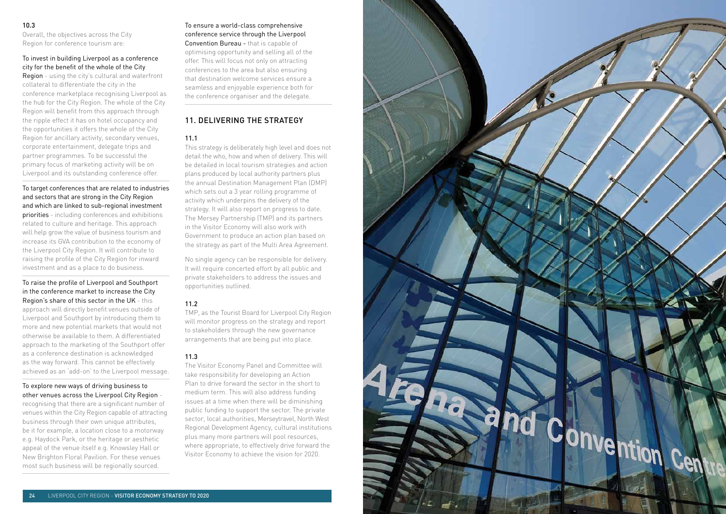Overall, the objectives across the City Region for conference tourism are:

#### To invest in building Liverpool as a conference city for the benefit of the whole of the City

Region - using the city's cultural and waterfront collateral to differentiate the city in the conference marketplace recognising Liverpool as the hub for the City Region. The whole of the City Region will benefit from this approach through the ripple effect it has on hotel occupancy and the opportunities it offers the whole of the City Region for ancillary activity, secondary venues, corporate entertainment, delegate trips and partner programmes. To be successful the primary focus of marketing activity will be on Liverpool and its outstanding conference offer.

To target conferences that are related to industries and sectors that are strong in the City Region and which are linked to sub-regional investment priorities - including conferences and exhibitions related to culture and heritage. This approach will help grow the value of business tourism and increase its GVA contribution to the economy of the Liverpool City Region. It will contribute to raising the profile of the City Region for inward investment and as a place to do business.

To raise the profile of Liverpool and Southport in the conference market to increase the City Region's share of this sector in the UK - this approach will directly benefit venues outside of Liverpool and Southport by introducing them to more and new potential markets that would not otherwise be available to them. A differentiated approach to the marketing of the Southport offer as a conference destination is acknowledged as the way forward. This cannot be effectively achieved as an 'add-on' to the Liverpool message.

#### To explore new ways of driving business to other venues across the Liverpool City Region -

recognising that there are a significant number of venues within the City Region capable of attracting business through their own unique attributes, be it for example, a location close to a motorway e.g. Haydock Park, or the heritage or aesthetic appeal of the venue itself e.g. Knowsley Hall or New Brighton Floral Pavilion. For these venues most such business will be regionally sourced.

To ensure a world-class comprehensive conference service through the Liverpool Convention Bureau - that is capable of optimising opportunity and selling all of the offer. This will focus not only on attracting conferences to the area but also ensuring that destination welcome services ensure a seamless and enjoyable experience both for the conference organiser and the delegate.

### 11. Delivering the Strategy

#### 11.1

This strategy is deliberately high level and does not detail the who, how and when of delivery. This will be detailed in local tourism strategies and action plans produced by local authority partners plus the annual Destination Management Plan (DMP) which sets out a 3 year rolling programme of activity which underpins the delivery of the strategy. It will also report on progress to date. The Mersey Partnership (TMP) and its partners in the Visitor Economy will also work with Government to produce an action plan based on the strategy as part of the Multi Area Agreement.

No single agency can be responsible for delivery. It will require concerted effort by all public and private stakeholders to address the issues and opportunities outlined.

#### 11.2

TMP, as the Tourist Board for Liverpool City Region will monitor progress on the strategy and report to stakeholders through the new governance arrangements that are being put into place.

#### 11.3

The Visitor Economy Panel and Committee will take responsibility for developing an Action Plan to drive forward the sector in the short to medium term. This will also address funding issues at a time when there will be diminishing public funding to support the sector. The private sector, local authorities, Merseytravel, North West Regional Development Agency, cultural institutions plus many more partners will pool resources, where appropriate, to effectively drive forward the Visitor Economy to achieve the vision for 2020.

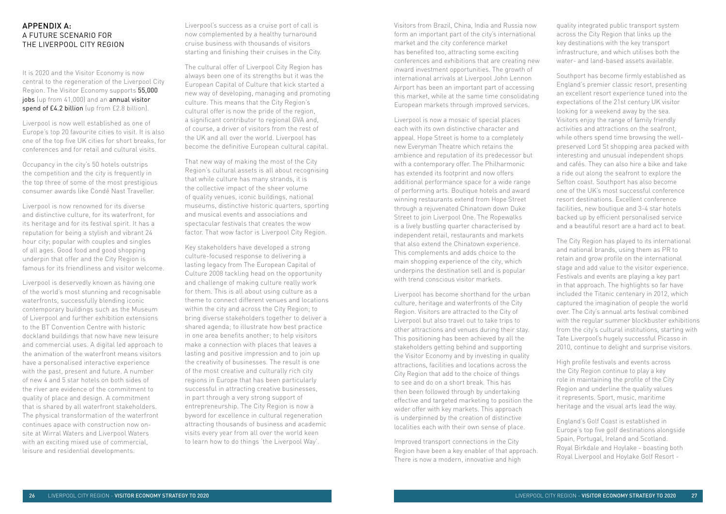It is 2020 and the Visitor Economy is now central to the regeneration of the Liverpool City Region. The Visitor Economy supports 55,000 jobs (up from 41,000) and an annual visitor spend of £4.2 billion (up from £2.8 billion).

#### APPENDIX A: A FUTURE SCENARIO FOR THE LIVERPOOL CITY REGION

Liverpool is now well established as one of Europe's top 20 favourite cities to visit. It is also one of the top five UK cities for short breaks, for conferences and for retail and cultural visits.

Occupancy in the city's 50 hotels outstrips the competition and the city is frequently in the top three of some of the most prestigious consumer awards like Condé Nast Traveller.

Liverpool is now renowned for its diverse and distinctive culture, for its waterfront, for its heritage and for its festival spirit. It has a reputation for being a stylish and vibrant 24 hour city; popular with couples and singles of all ages. Good food and good shopping underpin that offer and the City Region is famous for its friendliness and visitor welcome.

Liverpool is deservedly known as having one of the world's most stunning and recognisable waterfronts, successfully blending iconic contemporary buildings such as the Museum of Liverpool and further exhibition extensions to the BT Convention Centre with historic dockland buildings that now have new leisure and commercial uses. A digital led approach to the animation of the waterfront means visitors have a personalised interactive experience with the past, present and future. A number of new 4 and 5 star hotels on both sides of the river are evidence of the commitment to quality of place and design. A commitment that is shared by all waterfront stakeholders. The physical transformation of the waterfront continues apace with construction now onsite at Wirral Waters and Liverpool Waters with an exciting mixed use of commercial, leisure and residential developments.

Liverpool's success as a cruise port of call is now complemented by a healthy turnaround cruise business with thousands of visitors starting and finishing their cruises in the City.

The cultural offer of Liverpool City Region has always been one of its strengths but it was the European Capital of Culture that kick started a new way of developing, managing and promoting culture. This means that the City Region's cultural offer is now the pride of the region, a significant contributor to regional GVA and, of course, a driver of visitors from the rest of the UK and all over the world. Liverpool has become the definitive European cultural capital.

That new way of making the most of the City Region's cultural assets is all about recognising that while culture has many strands, it is the collective impact of the sheer volume of quality venues, iconic buildings, national museums, distinctive historic quarters, sporting and musical events and associations and spectacular festivals that creates the wow factor. That wow factor is Liverpool City Region.

Key stakeholders have developed a strong culture-focused response to delivering a lasting legacy from The European Capital of Culture 2008 tackling head on the opportunity and challenge of making culture really work for them. This is all about using culture as a theme to connect different venues and locations within the city and across the City Region; to bring diverse stakeholders together to deliver a shared agenda; to illustrate how best practice in one area benefits another; to help visitors make a connection with places that leaves a lasting and positive impression and to join up the creativity of businesses. The result is one of the most creative and culturally rich city regions in Europe that has been particularly successful in attracting creative businesses, in part through a very strong support of entrepreneurship. The City Region is now a byword for excellence in cultural regeneration attracting thousands of business and academic visits every year from all over the world keen to learn how to do things 'the Liverpool Way'.

Visitors from Brazil, China, India and Russia now form an important part of the city's international market and the city conference market has benefited too, attracting some exciting conferences and exhibitions that are creating new inward investment opportunities. The growth of international arrivals at Liverpool John Lennon Airport has been an important part of accessing this market, while at the same time consolidating European markets through improved services.

Liverpool is now a mosaic of special places each with its own distinctive character and appeal. Hope Street is home to a completely new Everyman Theatre which retains the ambience and reputation of its predecessor but with a contemporary offer. The Philharmonic has extended its footprint and now offers additional performance space for a wide range of performing arts. Boutique hotels and award winning restaurants extend from Hope Street through a rejuvenated Chinatown down Duke Street to join Liverpool One. The Ropewalks is a lively bustling quarter characterised by independent retail, restaurants and markets that also extend the Chinatown experience. This complements and adds choice to the main shopping experience of the city, which underpins the destination sell and is popular with trend conscious visitor markets.

Liverpool has become shorthand for the urban culture, heritage and waterfronts of the City Region. Visitors are attracted to the City of Liverpool but also travel out to take trips to other attractions and venues during their stay. This positioning has been achieved by all the stakeholders getting behind and supporting the Visitor Economy and by investing in quality attractions, facilities and locations across the City Region that add to the choice of things to see and do on a short break. This has then been followed through by undertaking effective and targeted marketing to position the wider offer with key markets. This approach is underpinned by the creation of distinctive localities each with their own sense of place.

Improved transport connections in the City Region have been a key enabler of that approach. There is now a modern, innovative and high

quality integrated public transport system across the City Region that links up the key destinations with the key transport infrastructure, and which utilises both the water- and land-based assets available.

Southport has become firmly established as England's premier classic resort, presenting an excellent resort experience tuned into the expectations of the 21st century UK visitor looking for a weekend away by the sea. Visitors enjoy the range of family friendly activities and attractions on the seafront, while others spend time browsing the wellpreserved Lord St shopping area packed with interesting and unusual independent shops and cafés. They can also hire a bike and take a ride out along the seafront to explore the Sefton coast. Southport has also become one of the UK's most successful conference resort destinations. Excellent conference facilities, new boutique and 3-4 star hotels backed up by efficient personalised service and a beautiful resort are a hard act to beat.

The City Region has played to its international and national brands, using them as PR to retain and grow profile on the international stage and add value to the visitor experience. Festivals and events are playing a key part in that approach. The highlights so far have included the Titanic centenary in 2012, which captured the imagination of people the world over. The City's annual arts festival combined with the regular summer blockbuster exhibitions from the city's cultural institutions, starting with Tate Liverpool's hugely successful Picasso in 2010, continue to delight and surprise visitors.

High profile festivals and events across the City Region continue to play a key role in maintaining the profile of the City Region and underline the quality values it represents. Sport, music, maritime heritage and the visual arts lead the way.

England's Golf Coast is established in Europe's top five golf destinations alongside Spain, Portugal, Ireland and Scotland. Royal Birkdale and Hoylake - boasting both Royal Liverpool and Hoylake Golf Resort -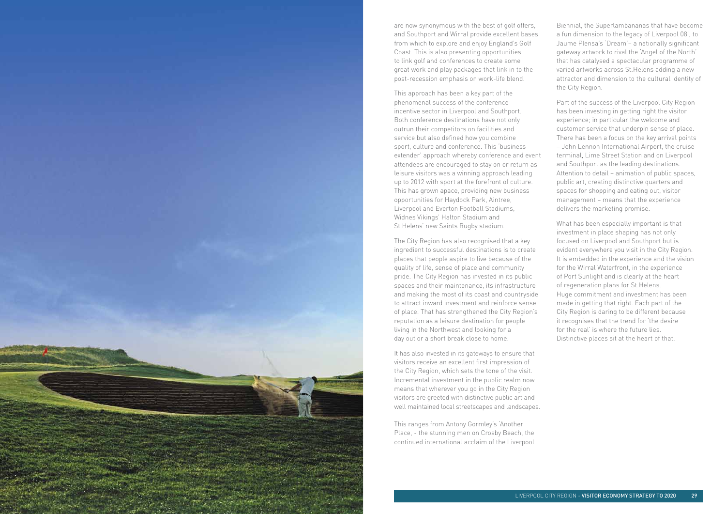are now synonymous with the best of golf offers, and Southport and Wirral provide excellent bases from which to explore and enjoy England's Golf Coast. This is also presenting opportunities to link golf and conferences to create some great work and play packages that link in to the post-recession emphasis on work-life blend.

This approach has been a key part of the phenomenal success of the conference incentive sector in Liverpool and Southport. Both conference destinations have not only outrun their competitors on facilities and service but also defined how you combine sport, culture and conference. This 'business extender' approach whereby conference and event attendees are encouraged to stay on or return as leisure visitors was a winning approach leading up to 2012 with sport at the forefront of culture. This has grown apace, providing new business opportunities for Haydock Park, Aintree, Liverpool and Everton Football Stadiums, Widnes Vikings' Halton Stadium and St.Helens' new Saints Rugby stadium.

The City Region has also recognised that a key ingredient to successful destinations is to create places that people aspire to live because of the quality of life, sense of place and community pride. The City Region has invested in its public spaces and their maintenance, its infrastructure and making the most of its coast and countryside to attract inward investment and reinforce sense of place. That has strengthened the City Region's reputation as a leisure destination for people living in the Northwest and looking for a day out or a short break close to home.

It has also invested in its gateways to ensure that visitors receive an excellent first impression of the City Region, which sets the tone of the visit. Incremental investment in the public realm now means that wherever you go in the City Region visitors are greeted with distinctive public art and well maintained local streetscapes and landscapes.

This ranges from Antony Gormley's 'Another Place, - the stunning men on Crosby Beach, the continued international acclaim of the Liverpool

Biennial, the Superlambananas that have become a fun dimension to the legacy of Liverpool 08', to Jaume Plensa's 'Dream'– a nationally significant gateway artwork to rival the 'Angel of the North' that has catalysed a spectacular programme of varied artworks across St.Helens adding a new attractor and dimension to the cultural identity of the City Region.

Part of the success of the Liverpool City Region has been investing in getting right the visitor experience; in particular the welcome and customer service that underpin sense of place. There has been a focus on the key arrival points – John Lennon International Airport, the cruise terminal, Lime Street Station and on Liverpool and Southport as the leading destinations. Attention to detail – animation of public spaces, public art, creating distinctive quarters and spaces for shopping and eating out, visitor management – means that the experience delivers the marketing promise.

What has been especially important is that investment in place shaping has not only focused on Liverpool and Southport but is evident everywhere you visit in the City Region. It is embedded in the experience and the vision for the Wirral Waterfront, in the experience of Port Sunlight and is clearly at the heart of regeneration plans for St.Helens. Huge commitment and investment has been made in getting that right. Each part of the City Region is daring to be different because it recognises that the trend for 'the desire for the real' is where the future lies. Distinctive places sit at the heart of that.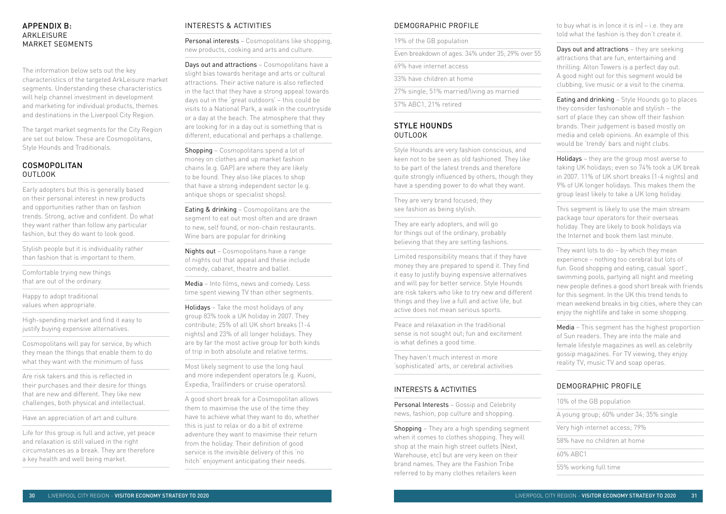#### APPENDIX B: Arkleisure MARKET SEGMENTS

The information below sets out the key characteristics of the targeted ArkLeisure market segments. Understanding these characteristics will help channel investment in development and marketing for individual products, themes and destinations in the Liverpool City Region.

The target market segments for the City Region are set out below. These are Cosmopolitans, Style Hounds and Traditionals.

#### COSMOPOLITAN Outlook

Early adopters but this is generally based on their personal interest in new products and opportunities rather than on fashion trends. Strong, active and confident. Do what they want rather than follow any particular fashion, but they do want to look good.

Stylish people but it is individuality rather than fashion that is important to them.

Comfortable trying new things that are out of the ordinary.

Happy to adopt traditional values when appropriate.

High-spending market and find it easy to justify buying expensive alternatives.

Cosmopolitans will pay for service, by which they mean the things that enable them to do what they want with the minimum of fuss

Eating & drinking - Cosmopolitans are the segment to eat out most often and are drawn to new, self found, or non-chain restaurants. Wine bars are popular for drinking

Are risk takers and this is reflected in their purchases and their desire for things that are new and different. They like new challenges, both physical and intellectual.

Nights out - Cosmopolitans have a range of nights out that appeal and these include comedy, cabaret, theatre and ballet.

Have an appreciation of art and culture.

Holidays - Take the most holidays of any group 83% took a UK holiday in 2007. They contribute; 25% of all UK short breaks (1-4 nights) and 23% of all longer holidays. They are by far the most active group for both kinds of trip in both absolute and relative terms.

Life for this group is full and active, yet peace and relaxation is still valued in the right circumstances as a break. They are therefore a key health and well being market.

#### Interests & Activities

Personal interests – Cosmopolitans like shopping, new products, cooking and arts and culture.

Days out and attractions – Cosmopolitans have a slight bias towards heritage and arts or cultural attractions. Their active nature is also reflected in the fact that they have a strong appeal towards days out in the 'great outdoors' – this could be visits to a National Park, a walk in the countryside or a day at the beach. The atmosphere that they are looking for in a day out is something that is different, educational and perhaps a challenge.

Shopping – Cosmopolitans spend a lot of money on clothes and up market fashion chains (e.g. GAP) are where they are likely to be found. They also like places to shop that have a strong independent sector (e.g. antique shops or specialist shops).

> Shopping - They are a high spending segment when it comes to clothes shopping. They will shop at the main high street outlets (Next, Warehouse, etc) but are very keen on their brand names. They are the Fashion Tribe referred to by many clothes retailers keen

Media – Into films, news and comedy. Less time spent viewing TV than other segments.

Most likely segment to use the long haul and more independent operators (e.g. Kuoni, Expedia, Trailfinders or cruise operators).

A good short break for a Cosmopolitan allows them to maximise the use of the time they have to achieve what they want to do, whether this is just to relax or do a bit of extreme adventure they want to maximise their return from the holiday. Their definition of good service is the invisible delivery of this 'no hitch' enjoyment anticipating their needs.

#### Demographic Profile

19% of the GB population

Even breakdown of ages. 34% under 35; 29% over 55

69% have internet access

33% have children at home

27% single; 51% married/living as married

57% ABC1, 21% retired

#### STYLE HOUNDS Outlook

Style Hounds are very fashion conscious, and keen not to be seen as old fashioned. They like to be part of the latest trends and therefore quite strongly influenced by others, though they have a spending power to do what they want.

They are very brand focused; they see fashion as being stylish.

They are early adopters, and will go for things out of the ordinary, probably believing that they are setting fashions.

Limited responsibility means that if they have money they are prepared to spend it. They find it easy to justify buying expensive alternatives and will pay for better service. Style Hounds are risk takers who like to try new and different things and they live a full and active life, but active does not mean serious sports.

Peace and relaxation in the traditional sense is not sought out; fun and excitement is what defines a good time.

They haven't much interest in more 'sophisticated' arts, or cerebral activities

#### Interests & Activities

Personal Interests – Gossip and Celebrity news, fashion, pop culture and shopping.

to buy what is in (once it is in) – i.e. they are told what the fashion is they don't create it.

Days out and attractions – they are seeking attractions that are fun, entertaining and thrilling. Alton Towers is a perfect day out. A good night out for this segment would be clubbing, live music or a visit to the cinema.

Eating and drinking – Style Hounds go to places they consider fashionable and stylish – the sort of place they can show off their fashion brands. Their judgement is based mostly on media and celeb opinions. An example of this would be 'trendy' bars and night clubs.

Holidays – they are the group most averse to taking UK holidays; even so 74% took a UK break in 2007. 11% of UK short breaks (1-4 nights) and 9% of UK longer holidays. This makes them the group least likely to take a UK long holiday.

This segment is likely to use the main stream package tour operators for their overseas holiday. They are likely to book holidays via the Internet and book them last minute.

They want lots to do – by which they mean experience – nothing too cerebral but lots of fun. Good shopping and eating, casual 'sport', swimming pools, partying all night and meeting new people defines a good short break with friends for this segment. In the UK this trend tends to mean weekend breaks in big cities, where they can enjoy the nightlife and take in some shopping.

Media – This segment has the highest proportion of Sun readers. They are into the male and female lifestyle magazines as well as celebrity gossip magazines. For TV viewing, they enjoy reality TV, music TV and soap operas.

#### Demographic Profile

10% of the GB population

A young group; 60% under 34; 35% single

Very high internet access; 79%

58% have no children at home

60% ABC1

55% working full time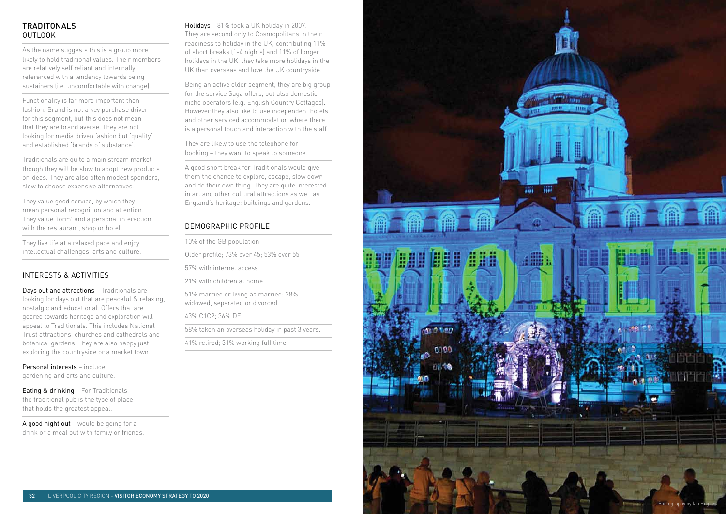#### TRADITONA **Report Follows** Out loo k

As the name suggests this is a group more likely to hold traditional values. Their members are relatively self reliant and internally referenced with a tendency towards being sustainers (i.e. uncomfortable with change).

Functionality is far more important than fashion. Brand is not a key purchase driver for this segment, but this does not mean that they are brand averse. They are not looking for media driven fashion but 'quality' and established 'brands of substance'.

Traditionals are quite a main stream market though they will be slow to adopt new products or ideas. They are also often modest spenders, slow to choose expensive alternatives. They value good service, by which they

Days out and attractions - Traditionals are looking for days out that are peaceful & relaxing, nostalgic and educational. Offers that are geared towards heritage and exploration will appeal to Traditionals. This includes National Trust attractions, churches and cathedrals and botanical gardens. They are also happy just exploring the countryside or a market town.

Eating & drinking - For Traditionals, the traditional pub is the type of place that holds the greatest appeal.

mean personal recognition and attention. They value 'form' and a personal interaction with the restaurant, shop or hotel.

They live life at a relaxed pace and enjoy intellectual challenges, arts and culture.

#### INTERESTS & ACTIVITIES

Personal interests – include gardening and arts and culture.

A good night out – would be going for a drink or a meal out with family or friends. Holidays – 81% took a UK holiday in 2007. They are second only to Cosmopolitans in their readiness to holiday in the UK, contributing 11% of short breaks (1-4 nights) and 11% of longer holidays in the UK, they take more holidays in the UK than overseas and love the UK countryside.

Being an active older segment, they are big group for the service Saga offers, but also domestic niche operators (e.g. English Country Cottages). However they also like to use independent hotels and other serviced accommodation where there is a personal touch and interaction with the staff.

They are likely to use the telephone for booking – they want to speak to someone.

A good short break for Traditionals would give them the chance to explore, escape, slow down and do their own thing. They are quite interested in art and other cultural attractions as well as England's heritage; buildings and gardens.

#### DEMOGRAPHIC PROFILE

10% of the GB population

Older profile; 73% over 45; 53% over 55

57% with internet access

21% with children at home

51% married or living as married; 28% widowed, separated or divorced

43% C1C2; 36% D E

58% taken an overseas holiday in past 3 years.

41% retired; 31% working full time

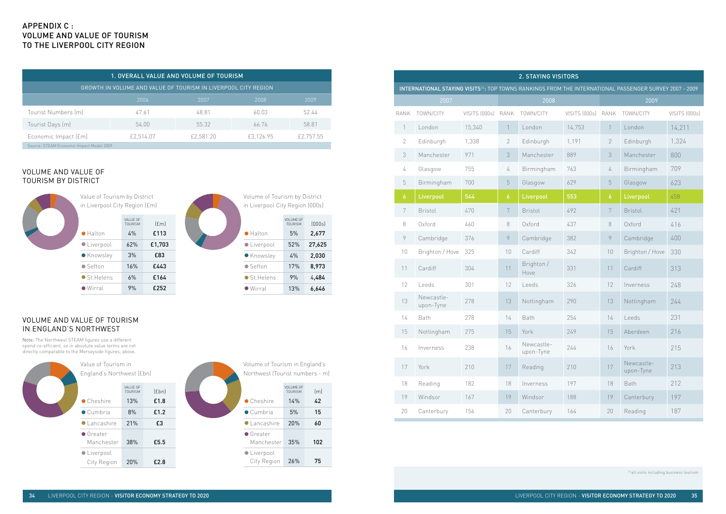| 2. STAYING VISITORS |                                                                                                                     |                      |                |                         |                    |                  |                         |                      |  |
|---------------------|---------------------------------------------------------------------------------------------------------------------|----------------------|----------------|-------------------------|--------------------|------------------|-------------------------|----------------------|--|
|                     | INTERNATIONAL STAYING VISITS <sup>24</sup> : TOP TOWNS RANKINGS FROM THE INTERNATIONAL PASSENGER SURVEY 2007 - 2009 |                      |                |                         |                    |                  |                         |                      |  |
|                     | 2007                                                                                                                |                      | 2008           |                         |                    |                  | 2009                    |                      |  |
| <b>RANK</b>         | TOWN/CITY                                                                                                           | <b>VISITS (000s)</b> | <b>RANK</b>    | TOWN/CITY               | VISITS (000s) RANK |                  | TOWN/CITY               | <b>VISITS (000s)</b> |  |
| $\left  \right $    | London                                                                                                              | 15,340               | 1              | London                  | 14,753             | 1                | London                  | 14,211               |  |
| $\overline{2}$      | Edinburgh                                                                                                           | 1,338                | $\overline{2}$ | Edinburgh               | 1,191              | $\overline{2}$   | Edinburgh               | 1,324                |  |
| 3                   | Manchester                                                                                                          | 971                  | 3              | Manchester              | 889                | 3                | Manchester              | 800                  |  |
| 4                   | Glasgow                                                                                                             | 755                  | 4              | Birmingham              | 763                | $\sqrt{ }$       | Birmingham              | 709                  |  |
| 5                   | Birmingham                                                                                                          | 700                  | $\overline{5}$ | Glasgow                 | 629                | $\overline{5}$   | Glasgow                 | 623                  |  |
| $\overline{6}$      | Liverpool                                                                                                           | 544                  | $\overline{6}$ | Liverpool               | 553                | $\boldsymbol{6}$ | Liverpool               | 458                  |  |
| 7                   | Bristol                                                                                                             | 470                  | $7\phantom{.}$ | <b>Bristol</b>          | 492                | 7                | <b>Bristol</b>          | 421                  |  |
| $\,8\,$             | Oxford                                                                                                              | 460                  | $\,8\,$        | Oxford                  | 437                | $\,8\,$          | Oxford                  | 416                  |  |
| $\circ$             | Cambridge                                                                                                           | 376                  | $\circ$        | Cambridge               | 382                | $\circ$          | Cambridge               | 400                  |  |
| 10                  | Brighton / Hove                                                                                                     | 325                  | $10\,$         | Cardiff                 | 342                | $10\,$           | Brighton / Hove         | 330                  |  |
| 11                  | Cardiff                                                                                                             | 304                  | 11             | Brighton /<br>Hove      | 331                | 11               | Cardiff                 | 313                  |  |
| 12                  | Leeds                                                                                                               | 301                  | 12             | Leeds                   | 326                | 12               | Inverness               | 248                  |  |
| 13                  | Newcastle-<br>upon-Tyne                                                                                             | 278                  | 13             | Nottingham              | 290                | 13               | Nottingham              | 244                  |  |
| 14                  | Bath                                                                                                                | 278                  | 14             | Bath                    | 254                | 14               | Leeds                   | 231                  |  |
| 15                  | Nottingham                                                                                                          | 275                  | 15             | York                    | 249                | 15               | Aberdeen                | 216                  |  |
| 16                  | Inverness                                                                                                           | 238                  | 16             | Newcastle-<br>upon-Tyne | 244                | 16               | York                    | 215                  |  |
| 17                  | York                                                                                                                | 210                  | 17             | Reading                 | 210                | 17               | Newcastle-<br>upon-Tyne | 213                  |  |
| 18                  | Reading                                                                                                             | 182                  | 18             | Inverness               | 197                | 18               | Bath                    | 212                  |  |
| 19                  | Windsor                                                                                                             | 167                  | 19             | Windsor                 | 188                | 19               | Canterbury              | 197                  |  |
| 20                  | Canterbury                                                                                                          | 156                  | 20             | Canterbury              | 164                | $20\,$           | Reading                 | 187                  |  |

#### APPENDIX C : VOLUME AND VALUE OF TOURISM TO THE LIVERPOOL CITY REGION

#### Volume and Value of Tourism BY District

#### Volume and Value of Tourism in England's Northwest

| 1. OVERALL VALUE AND VOLUME OF TOURISM                         |           |           |           |           |  |  |  |  |
|----------------------------------------------------------------|-----------|-----------|-----------|-----------|--|--|--|--|
| GROWTH IN VOLUME AND VALUE OF TOURISM IN LIVERPOOL CITY REGION |           |           |           |           |  |  |  |  |
|                                                                | 2006      | 2007      | 2008      | 2009      |  |  |  |  |
| Tourist Numbers (m)                                            | 47.61     | 48.81     | 60.03     | 52.44     |  |  |  |  |
| Tourist Days (m)                                               | 54.00     | 55.32     | 66.76     | 58.81     |  |  |  |  |
| Economic Impact (£m)                                           | £2,514.07 | £2,581.20 | £3,126.95 | £2,757.55 |  |  |  |  |
| Source: STEAM Economic Impact Model 2009                       |           |           |           |           |  |  |  |  |

Note: The Northwest STEAM figures use a different spend co-efficient, so in absolute value terms are not directly comparable to the Merseyside figures, above.

24 all visits including business tourism







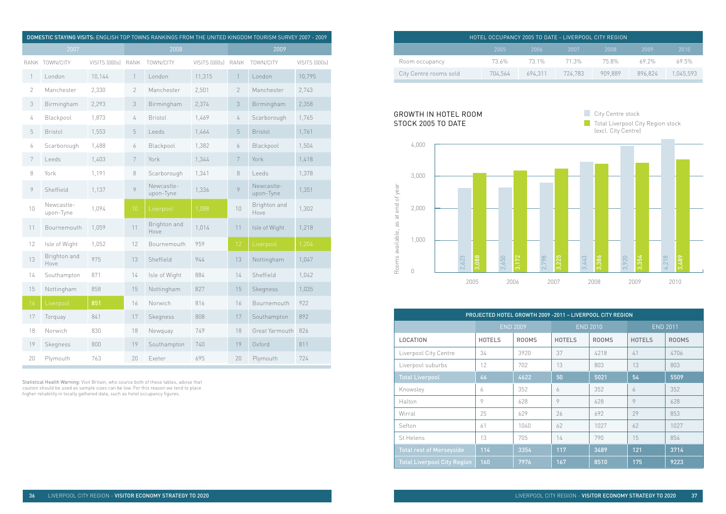|                | DOMESTIC STAYING VISITS: ENGLISH TOP TOWNS RANKINGS FROM THE UNITED KINGDOM TOURISM SURVEY 2007 - 2009 |                      |              |                         |                      |                 |                         |                      |  |  |
|----------------|--------------------------------------------------------------------------------------------------------|----------------------|--------------|-------------------------|----------------------|-----------------|-------------------------|----------------------|--|--|
|                | 2007                                                                                                   |                      | 2008         |                         |                      | 2009            |                         |                      |  |  |
|                | RANK TOWN/CITY                                                                                         | <b>VISITS (000s)</b> | <b>RANK</b>  | TOWN/CITY               | <b>VISITS (000s)</b> | <b>RANK</b>     | TOWN/CITY               | <b>VISITS (000s)</b> |  |  |
| 1              | London                                                                                                 | 10,144               | $\mathbf{1}$ | London                  | 11,315               | $\mathbf 1$     | London                  | 10,795               |  |  |
| $\overline{2}$ | Manchester                                                                                             | 2,330                | $\sqrt{2}$   | Manchester              | 2,501                | $\overline{2}$  | Manchester              | 2,743                |  |  |
| 3              | Birmingham                                                                                             | 2,293                | $\Im$        | Birmingham              | 2,374                | 3               | Birmingham              | 2,358                |  |  |
| $\sqrt{ }$     | Blackpool                                                                                              | 1,873                | $\sqrt{ }$   | <b>Bristol</b>          | 1,469                | 4               | Scarborough             | 1,765                |  |  |
| 5              | <b>Bristol</b>                                                                                         | 1,553                | 5            | Leeds                   | 1,464                | 5               | <b>Bristol</b>          | 1,761                |  |  |
| 6              | Scarborough                                                                                            | 1,488                | 6            | Blackpool               | 1,382                | 6               | Blackpool               | 1,504                |  |  |
| 7              | Leeds                                                                                                  | 1,403                | 7            | York                    | 1,344                | $7\phantom{.}$  | York                    | 1,418                |  |  |
| $\,8\,$        | York                                                                                                   | 1,191                | 8            | Scarborough             | 1,341                | $\,8\,$         | Leeds                   | 1,378                |  |  |
| $\circ$        | Sheffield                                                                                              | 1,137                | 9            | Newcastle-<br>upon-Tyne | 1,336                | 9               | Newcastle-<br>upon-Tyne | 1,351                |  |  |
| 10             | Newcastle-<br>upon-Tyne                                                                                | 1,094                | 10           | Liverpool               | 1,088                | 10              | Brighton and<br>Hove    | 1,302                |  |  |
| 11             | Bournemouth                                                                                            | 1,059                | 11           | Brighton and<br>Hove    | 1,014                | 11              | Isle of Wight           | 1,218                |  |  |
| 12             | Isle of Wight                                                                                          | 1,052                | 12           | Bournemouth             | 959                  | 12 <sup>°</sup> | Liverpool               | 1,204                |  |  |
| 13             | Brighton and<br>Hove                                                                                   | 975                  | 13           | Sheffield               | 944                  | 13              | Nottingham              | 1,047                |  |  |
| 14             | Southampton                                                                                            | 871                  | 14           | Isle of Wight           | 884                  | 14              | Sheffield               | 1,042                |  |  |
| 15             | Nottingham                                                                                             | 858                  | 15           | Nottingham              | 827                  | 15              | Skegness                | 1,035                |  |  |
| 16             | Liverpool                                                                                              | 851                  | 16           | Norwich                 | 816                  | 16              | Bournemouth             | 922                  |  |  |
| 17             | Torquay                                                                                                | 841                  | 17           | Skegness                | 808                  | $17\,$          | Southampton             | 892                  |  |  |
| 18             | Norwich                                                                                                | 830                  | $18\,$       | Newquay                 | 749                  | 18              | Great Yarmouth          | 826                  |  |  |
| 19             | Skegness                                                                                               | 800                  | 19           | Southampton             | 740                  | 19              | Oxford                  | 811                  |  |  |
| 20             | Plymouth                                                                                               | 763                  | 20           | Exeter                  | 695                  | $20\,$          | Plymouth                | 724                  |  |  |

#### Growth in Hotel Room STOCK 2005 TO DATE

**City Centre stock** Total Liverpool City Region stock (excl. City Centre)

| HOTEL OCCUPANCY 2005 TO DATE - LIVERPOOL CITY REGION |         |         |         |         |         |           |  |
|------------------------------------------------------|---------|---------|---------|---------|---------|-----------|--|
|                                                      | 2005    | 2006    | 2007    | 2008    | 2009    | 2010      |  |
| Room occupancy                                       | 73.6%   | 73 1%   | 71.3%   | 75.8%   | 69 2%   | 69.5%     |  |
| City Centre rooms sold                               | 704.564 | 694.311 | 724.783 | 909.889 | 896.824 | 1.045.593 |  |

| PROJECTED HOTEL GROWTH 2009 -2011 - LIVERPOOL CITY REGION |                                                       |              |               |              |               |              |  |
|-----------------------------------------------------------|-------------------------------------------------------|--------------|---------------|--------------|---------------|--------------|--|
|                                                           | <b>END 2010</b><br><b>END 2011</b><br><b>END 2009</b> |              |               |              |               |              |  |
| <b>LOCATION</b>                                           | <b>HOTELS</b>                                         | <b>ROOMS</b> | <b>HOTELS</b> | <b>ROOMS</b> | <b>HOTELS</b> | <b>ROOMS</b> |  |
| Liverpool City Centre                                     | 34                                                    | 3920         | 37            | 4218         | 41            | 4706         |  |
| Liverpool suburbs                                         | 12                                                    | 702          | 13            | 803          | 13            | 803          |  |
| <b>Total Liverpool</b>                                    | 46                                                    | 4622         | 50            | 5021         | 54            | 5509         |  |
| Knowsley                                                  | 6                                                     | 352          | 6             | 352          | 6             | 352          |  |
| Halton                                                    | 9                                                     | 628          | 9             | 628          | 9             | 628          |  |
| Wirral                                                    | 25                                                    | 629          | 26            | 692          | 29            | 853          |  |
| Sefton                                                    | 61                                                    | 1040         | 62            | 1027         | 62            | 1027         |  |
| St Helens                                                 | 13                                                    | 705          | 14            | 790          | 15            | 854          |  |
| <b>Total rest of Merseyside</b>                           | 114                                                   | 3354         | 117           | 3489         | 121           | 3714         |  |
| <b>Total Liverpool City Region</b>                        | 160                                                   | 7976         | 167           | 8510         | 175           | 9223         |  |

Statistical Health Warning: Visit Britain, who source both of these tables, advise that caution should be used as sample sizes can be low. For this reason we tend to place higher reliability in locally gathered data, such as hotel occupancy figures.

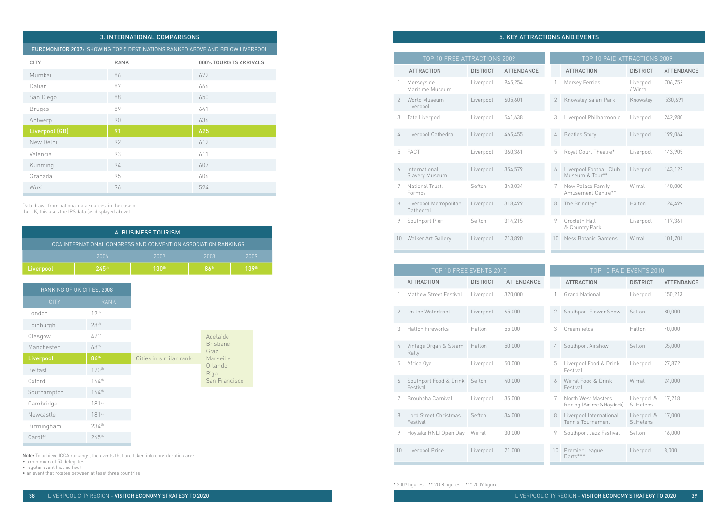| 3. INTERNATIONAL COMPARISONS                                                  |             |                         |  |  |  |  |  |  |
|-------------------------------------------------------------------------------|-------------|-------------------------|--|--|--|--|--|--|
| EUROMONITOR 2007: SHOWING TOP 5 DESTINATIONS RANKED ABOVE AND BELOW LIVERPOOL |             |                         |  |  |  |  |  |  |
| <b>CITY</b>                                                                   | <b>RANK</b> | 000's TOURISTS ARRIVALS |  |  |  |  |  |  |
| Mumbai                                                                        | 86          | 672                     |  |  |  |  |  |  |
| Dalian                                                                        | 87          | 666                     |  |  |  |  |  |  |
| San Diego                                                                     | 88          | 650                     |  |  |  |  |  |  |
| <b>Bruges</b>                                                                 | 89          | 641                     |  |  |  |  |  |  |
| Antwerp                                                                       | 90          | 636                     |  |  |  |  |  |  |
| Liverpool (GB)                                                                | 91          | 625                     |  |  |  |  |  |  |
| New Delhi                                                                     | 92          | 612                     |  |  |  |  |  |  |
| Valencia                                                                      | 93          | 611                     |  |  |  |  |  |  |
| Kunming                                                                       | 94          | 607                     |  |  |  |  |  |  |
| Granada                                                                       | 95          | 606                     |  |  |  |  |  |  |
| Wuxi                                                                          | 96          | 594                     |  |  |  |  |  |  |
|                                                                               |             |                         |  |  |  |  |  |  |

| RANKING OF UK CITIES, 2008 |                     |                         |
|----------------------------|---------------------|-------------------------|
| <b>CITY</b>                | <b>RANK</b>         |                         |
| London                     | 19 <sup>th</sup>    |                         |
| Edinburgh                  | 28th                |                         |
| Glasgow                    | 42 <sup>nd</sup>    |                         |
| Manchester                 | 68 <sup>th</sup>    |                         |
| Liverpool                  | 86 <sup>th</sup>    | Cities in similar rank: |
| <b>Belfast</b>             | 120 <sup>th</sup>   |                         |
| Oxford                     | 164th               |                         |
| Southampton                | 164th               |                         |
| Cambridge                  | $181$ <sup>st</sup> |                         |
| Newcastle                  | $181$ <sup>st</sup> |                         |
| Birmingham                 | 234th               |                         |
| Cardiff                    | $265$ <sup>th</sup> |                         |
|                            |                     |                         |

Note: To achieve ICCA rankings, the events that are taken into consideration are:

|    | TOP 10 FREE EVENTS 2010            |                 |                   | TOP 10 PAID EVENTS 2010 |                                                  |                          |                   |  |
|----|------------------------------------|-----------------|-------------------|-------------------------|--------------------------------------------------|--------------------------|-------------------|--|
|    | <b>ATTRACTION</b>                  | <b>DISTRICT</b> | <b>ATTENDANCE</b> |                         | <b>ATTRACTION</b>                                | <b>DISTRICT</b>          | <b>ATTENDANCE</b> |  |
|    | Mathew Street Festival             | Liverpool       | 320,000           |                         | <b>Grand National</b>                            | Liverpool                | 150,213           |  |
| 2  | On the Waterfront                  | Liverpool       | 65,000            | 2                       | Southport Flower Show                            | Sefton                   | 80,000            |  |
| 3  | <b>Halton Fireworks</b>            | Halton          | 55,000            | 3                       | Creamfields                                      | Halton                   | 40.000            |  |
| 4  | Vintage Organ & Steam<br>Rally     | Halton          | 50,000            | 4                       | Southport Airshow                                | Sefton                   | 35,000            |  |
| 5  | Africa Oye                         | Liverpool       | 50,000            | 5                       | Liverpool Food & Drink<br>Festival               | Liverpool                | 27,872            |  |
| 6  | Southport Food & Drink<br>Festival | Sefton          | 40,000            | 6                       | Wirral Food & Drink<br>Festival                  | Wirral                   | 24,000            |  |
| 7  | Brouhaha Carnival                  | Liverpool       | 35,000            | 7                       | North West Masters<br>Racing (Aintree & Haydock) | Liverpool &<br>St.Helens | 17,218            |  |
| 8  | Lord Street Christmas<br>Festival  | Sefton          | 34,000            | 8                       | Liverpool International<br>Tennis Tournament     | Liverpool &<br>St.Helens | 17,000            |  |
| 9  | Hoylake RNLI Open Day              | Wirral          | 30,000            | 9                       | Southport Jazz Festival                          | Sefton                   | 16.000            |  |
| 10 | Liverpool Pride                    | Liverpool       | 21,000            | 10                      | Premier League<br>Darts***                       | Liverpool                | 8,000             |  |

|                | TOP 10 FREE ATTRACTIONS 2009        |                 |                   |                | TOP 10 PAID ATTRACTIONS 2009               |                       |                   |
|----------------|-------------------------------------|-----------------|-------------------|----------------|--------------------------------------------|-----------------------|-------------------|
|                | <b>ATTRACTION</b>                   | <b>DISTRICT</b> | <b>ATTENDANCE</b> |                | <b>ATTRACTION</b>                          | <b>DISTRICT</b>       | <b>ATTENDANCE</b> |
|                | Merseyside<br>Maritime Museum       | Liverpool       | 945,254           |                | Mersey Ferries                             | Liverpool<br>/ Wirral | 706,752           |
| $\overline{2}$ | World Museum<br>Liverpool           | Liverpool       | 605,601           | $\overline{2}$ | Knowsley Safari Park                       | Knowsley              | 530,691           |
| 3              | Tate Liverpool                      | Liverpool       | 541,638           | 3              | Liverpool Philharmonic                     | Liverpool             | 242.980           |
| 4              | Liverpool Cathedral                 | Liverpool       | 465,455           | 4              | <b>Beatles Story</b>                       | Liverpool             | 199,064           |
| 5              | FACT                                | Liverpool       | 360,361           | 5              | Royal Court Theatre*                       | Liverpool             | 143,905           |
| 6              | International<br>Slavery Museum     | Liverpool       | 354,579           | 6              | Liverpool Football Club<br>Museum & Tour** | Liverpool             | 143,122           |
| 7              | National Trust.<br>Formby           | Sefton          | 343.034           |                | New Palace Family<br>Amusement Centre**    | Wirral                | 140,000           |
| 8              | Liverpool Metropolitan<br>Cathedral | Liverpool       | 318.499           | 8              | The Brindley*                              | Halton                | 124.499           |
| 9              | Southport Pier                      | Sefton          | 314,215           | 9              | Croxteth Hall<br>& Country Park            | Liverpool             | 117,361           |
| 10             | Walker Art Gallery                  | Liverpool       | 213,890           | 10             | Ness Botanic Gardens                       | Wirral                | 101,701           |

#### 5. Key Attractions and Events

| 4. BUSINESS TOURISM                                             |                                                                          |  |  |  |  |  |  |  |  |
|-----------------------------------------------------------------|--------------------------------------------------------------------------|--|--|--|--|--|--|--|--|
| ICCA INTERNATIONAL CONGRESS AND CONVENTION ASSOCIATION RANKINGS |                                                                          |  |  |  |  |  |  |  |  |
|                                                                 | 2007<br>2009<br>2006<br>2008                                             |  |  |  |  |  |  |  |  |
| Liverpool                                                       | $245$ <sup>th</sup><br>86 <sup>th</sup><br>139 <sup>th</sup><br>13 $0th$ |  |  |  |  |  |  |  |  |

Data drawn from national data sources; in the case of the UK, this uses the IPS data (as displayed above)

• a minimum of 50 delegates

• regular event (not ad hoc)

• an event that rotates between at least three countries

#### \* 2007 figures \*\* 2008 figures \*\*\* 2009 figures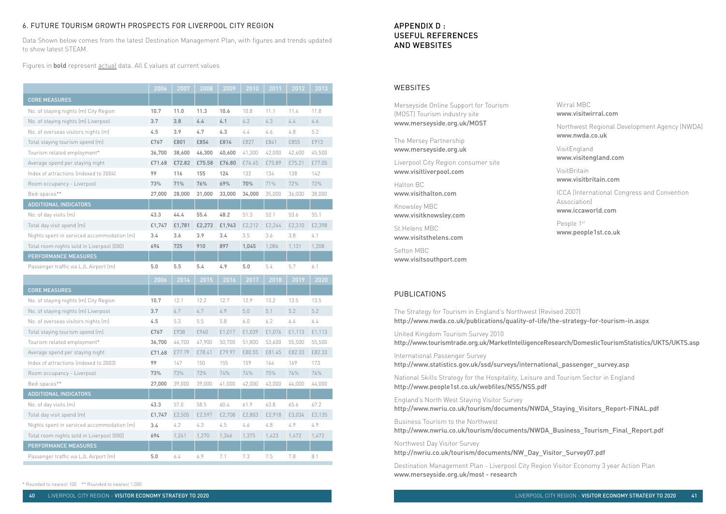|                                            | 2006   | 2007    | 2008   | 2009   | 2010   | 2011   | 2012    | 2013   |
|--------------------------------------------|--------|---------|--------|--------|--------|--------|---------|--------|
| <b>CORE MEASURES</b>                       |        |         |        |        |        |        |         |        |
| No. of staying nights (m) City Region      | 10.7   | 11.0    | 11.3   | 10.6   | 10.8   | 11.1   | 11.4    | 11.8   |
| No. of staying nights (m) Liverpool        | 3.7    | 3.8     | 4.4    | 4.1    | 4.2    | 4.3    | 4.4     | 4.6    |
| No. of overseas visitors nights (m)        | 4.5    | 3.9     | 4.7    | 4.3    | 4.4    | 4.6    | $4.8\,$ | 5.2    |
| Total staying tourism spend (m)            | £767   | £801    | £854   | £814   | £827   | £841   | £855    | £913   |
| Tourism related employment*                | 36,700 | 38,600  | 46,300 | 40,600 | 41,300 | 42,000 | 42,600  | 45,500 |
| Average spend per staying night            | £71.68 | £72.82  | £75.58 | £76.80 | £76.45 | £75.89 | £75.21  | £77.05 |
| Index of attractions (indexed to 2004)     | 99     | 116     | 155    | 124    | 132    | 134    | 138     | 142    |
| Room occupancy - Liverpool                 | 73%    | 71%     | 76%    | 69%    | 70%    | 71%    | 72%     | 72%    |
| Bed-spaces**                               | 27,000 | 28,000  | 31,000 | 33,000 | 34,000 | 35,000 | 36,000  | 38,000 |
| <b>ADDITIONAL INDICATORS</b>               |        |         |        |        |        |        |         |        |
| No. of day visits (m)                      | 43.3   | 44.4    | 55.4   | 48.2   | 51.3   | 52.1   | 53.6    | 55.1   |
| Total day visit spend (m)                  | £1,747 | £1,781  | £2,273 | £1,943 | £2,212 | £2,244 | £2,310  | £2,398 |
| Nights spent in serviced accommodation (m) | 3.4    | 3.6     | 3.9    | 3.4    | 3.5    | 3.6    | 3.8     | 4.1    |
| Total room nights sold in Liverpool (000)  | 694    | 725     | 910    | 897    | 1,045  | 1,086  | 1,131   | 1,208  |
| PERFORMANCE MEASURES                       |        |         |        |        |        |        |         |        |
| Passenger traffic via LJL Airport (m)      | $5.0$  | $5.5\,$ | 5.4    | 4.9    | $5.0$  | 5.4    | 5.7     | 6.1    |
|                                            |        |         |        |        |        |        |         |        |
|                                            | 2006   | 2014    | 2015   | 2016   | 2017   | 2018   | 2019    | 2020   |
| <b>CORE MEASURES</b>                       |        |         |        |        |        |        |         |        |
| No. of staying nights (m) City Region      | 10.7   | 12.1    | 12.2   | 12.7   | 12.9   | 13.2   | 13.5    | 13.5   |
| No. of staying nights (m) Liverpool        | 3.7    | 4.7     | 4.7    | 4.9    | 5.0    | 5.1    | 5.2     | 5.2    |
| No. of overseas visitors nights (m)        | 4.5    | 5.3     | $5.5$  | 5.8    | 6.0    | 6.2    | 6.4     | 6.4    |
| Total staying tourism spend (m)            | £767   | £938    | £960   | £1,017 | £1,039 | £1,076 | £1,113  | £1,113 |
| Tourism related employment*                | 36,700 | 46,700  | 47,900 | 50,700 | 51,800 | 53,600 | 55,500  | 55,500 |
| Average spend per staying night            | £71.68 | £77.79  | £78.41 | £79.97 | £80.55 | £81.45 | £82.33  | £82.33 |
| Index of attractions (indexed to 2003)     | 99     | 147     | 150    | 155    | 159    | 164    | 169     | 173    |
| Room occupancy - Liverpool                 | 73%    | 73%     | 73%    | 74%    | 74%    | 75%    | 76%     | 76%    |
| Bed-spaces**                               | 27,000 | 39,000  | 39,000 | 41,000 | 42,000 | 43,000 | 44,000  | 44,000 |
| <b>ADDITIONAL INDICATORS</b>               |        |         |        |        |        |        |         |        |
| No. of day visits (m)                      | 43.3   | 57.0    | 58.5   | 60.4   | 61.9   | 63.8   | 65.6    | 67.2   |
| Total day visit spend (m)                  | £1,747 | £2,505  | £2,597 | £2,708 | £2,803 | £2,918 | £3,034  | £3,135 |
| Nights spent in serviced accommodation (m) | 3.4    | 4.2     | 4.3    | 4.5    | 4.6    | 4.8    | 4.9     | 4.9    |
| Total room nights sold in Liverpool (000)  | 694    | 1,241   | 1,270  | 1,346  | 1,375  | 1,423  | 1,472   | 1,472  |
| PERFORMANCE MEASURES                       |        |         |        |        |        |        |         |        |

#### APPENDIX D : USEFUL REFERENCES AND WEBSITES

#### **WEBSITES**

People 1<sup>st</sup> www.people1st.co.uk

#### 6. Future tourism growth prospects for Liverpool City Region

Data Shown below comes from the latest Destination Management Plan, with figures and trends updated to show latest STEAM.

Figures in bold represent actual data. All £ values at current values

\* Rounded to nearest 100 \*\* Rounded to nearest 1,000

The Strategy for Tourism in England's Northwest (Revised 2007) http://www.nwda.co.uk/publications/quality-of-life/the-strategy-for-tourism-in.aspx

United Kingdom Tourism Survey 2010 http://www.tourismtrade.org.uk/MarketIntelligenceResearch/DomesticTourismStatistics/UKTS/UKTS.asp

International Passenger Survey http://www.statistics.gov.uk/ssd/surveys/international\_passenger\_survey.asp

National Skills Strategy for the Hospitality, Leisure and Tourism Sector in England http://www.people1st.co.uk/webfiles/NSS/NSS.pdf

England's North West Staying Visitor Survey http://www.nwriu.co.uk/tourism/documents/NWDA\_Staying\_Visitors\_Report-FINAL.pdf

Business Tourism to the Northwest http://www.nwriu.co.uk/tourism/documents/NWDA\_Business\_Tourism\_Final\_Report.pdf

Northwest Day Visitor Survey http://nwriu.co.uk/tourism/documents/NW\_Day\_Visitor\_Survey07.pdf

Destination Management Plan - Liverpool City Region Visitor Economy 3 year Action Plan www.merseyside.org.uk/most - research

Merseyside Online Support for Tourism (MOST) Tourism industry site www.merseyside.org.uk/MOST

The Mersey Partnership www.merseyside.org.uk

Liverpool City Region consumer site www.visitliverpool.com

Halton BC www.visithalton.com

Knowsley MBC www.visitknowsley.com

St.Helens MBC www.visitsthelens.com

Sefton MBC www.visitsouthport.com

#### **PUBLICATIONS**

Wirral MBC www.visitwirral.com Northwest Regional Development Agency (NWDA) www.nwda.co.uk VisitEngland www.visitengland.com VisitBritain www.visitbritain.com ICCA (International Congress and Convention Association) www.iccaworld.com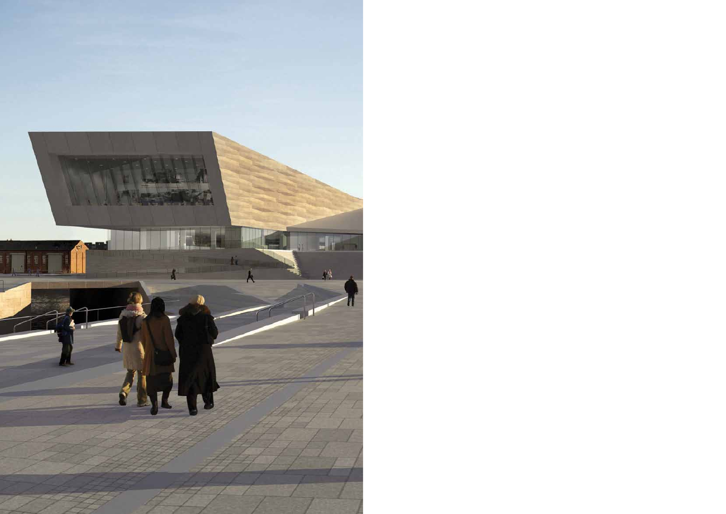